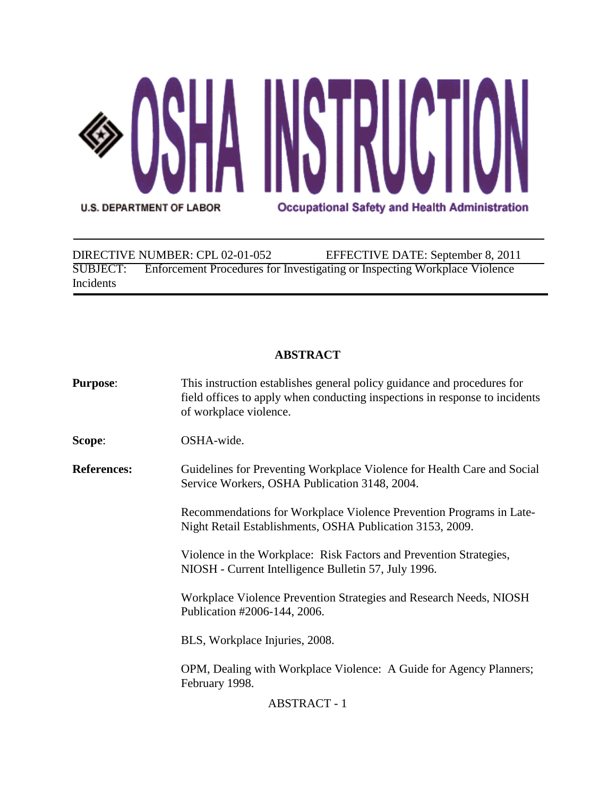

# DIRECTIVE NUMBER: CPL 02-01-052 EFFECTIVE DATE: September 8, 2011 SUBJECT: Enforcement Procedures for Investigating or Inspecting Workplace Violence Incidents

# **ABSTRACT**

| <b>Purpose:</b>    | This instruction establishes general policy guidance and procedures for<br>field offices to apply when conducting inspections in response to incidents<br>of workplace violence. |
|--------------------|----------------------------------------------------------------------------------------------------------------------------------------------------------------------------------|
| Scope:             | OSHA-wide.                                                                                                                                                                       |
| <b>References:</b> | Guidelines for Preventing Workplace Violence for Health Care and Social<br>Service Workers, OSHA Publication 3148, 2004.                                                         |
|                    | Recommendations for Workplace Violence Prevention Programs in Late-<br>Night Retail Establishments, OSHA Publication 3153, 2009.                                                 |
|                    | Violence in the Workplace: Risk Factors and Prevention Strategies,<br>NIOSH - Current Intelligence Bulletin 57, July 1996.                                                       |
|                    | Workplace Violence Prevention Strategies and Research Needs, NIOSH<br>Publication #2006-144, 2006.                                                                               |
|                    | BLS, Workplace Injuries, 2008.                                                                                                                                                   |
|                    | OPM, Dealing with Workplace Violence: A Guide for Agency Planners;<br>February 1998.                                                                                             |
|                    | <b>ABSTRACT - 1</b>                                                                                                                                                              |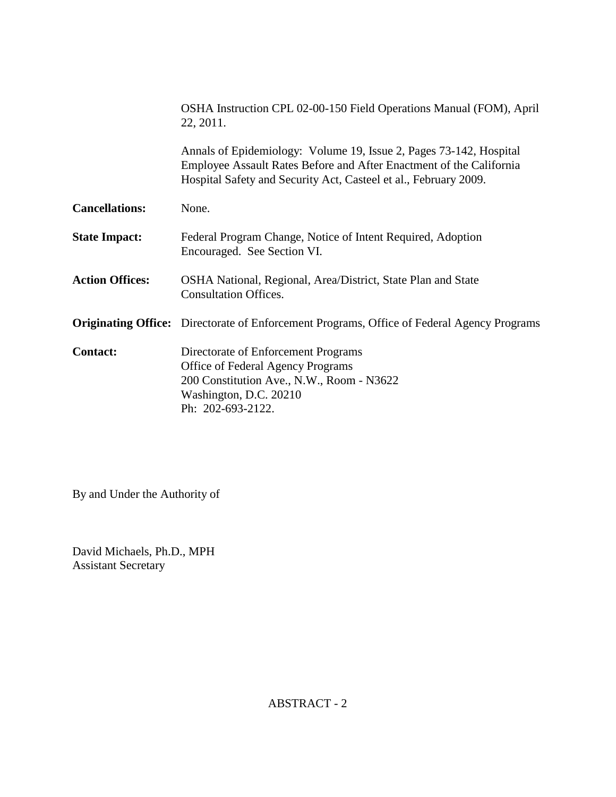|                        | OSHA Instruction CPL 02-00-150 Field Operations Manual (FOM), April<br>22, 2011.                                                                                                                              |
|------------------------|---------------------------------------------------------------------------------------------------------------------------------------------------------------------------------------------------------------|
|                        | Annals of Epidemiology: Volume 19, Issue 2, Pages 73-142, Hospital<br>Employee Assault Rates Before and After Enactment of the California<br>Hospital Safety and Security Act, Casteel et al., February 2009. |
| <b>Cancellations:</b>  | None.                                                                                                                                                                                                         |
| <b>State Impact:</b>   | Federal Program Change, Notice of Intent Required, Adoption<br>Encouraged. See Section VI.                                                                                                                    |
| <b>Action Offices:</b> | OSHA National, Regional, Area/District, State Plan and State<br><b>Consultation Offices.</b>                                                                                                                  |
|                        | <b>Originating Office:</b> Directorate of Enforcement Programs, Office of Federal Agency Programs                                                                                                             |
| <b>Contact:</b>        | Directorate of Enforcement Programs<br>Office of Federal Agency Programs<br>200 Constitution Ave., N.W., Room - N3622<br>Washington, D.C. 20210<br>Ph: 202-693-2122.                                          |

By and Under the Authority of

David Michaels, Ph.D., MPH Assistant Secretary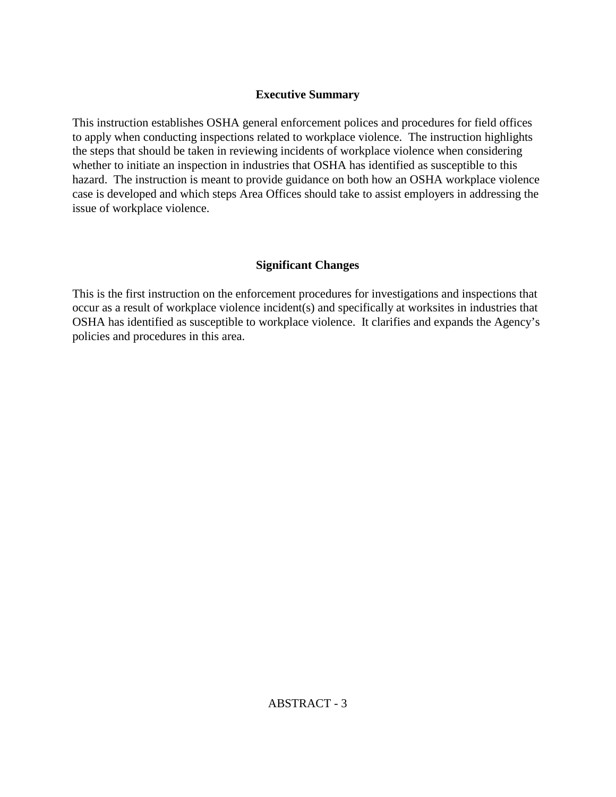## **Executive Summary**

This instruction establishes OSHA general enforcement polices and procedures for field offices to apply when conducting inspections related to workplace violence. The instruction highlights the steps that should be taken in reviewing incidents of workplace violence when considering whether to initiate an inspection in industries that OSHA has identified as susceptible to this hazard. The instruction is meant to provide guidance on both how an OSHA workplace violence case is developed and which steps Area Offices should take to assist employers in addressing the issue of workplace violence.

## **Significant Changes**

This is the first instruction on the enforcement procedures for investigations and inspections that occur as a result of workplace violence incident(s) and specifically at worksites in industries that OSHA has identified as susceptible to workplace violence. It clarifies and expands the Agency's policies and procedures in this area.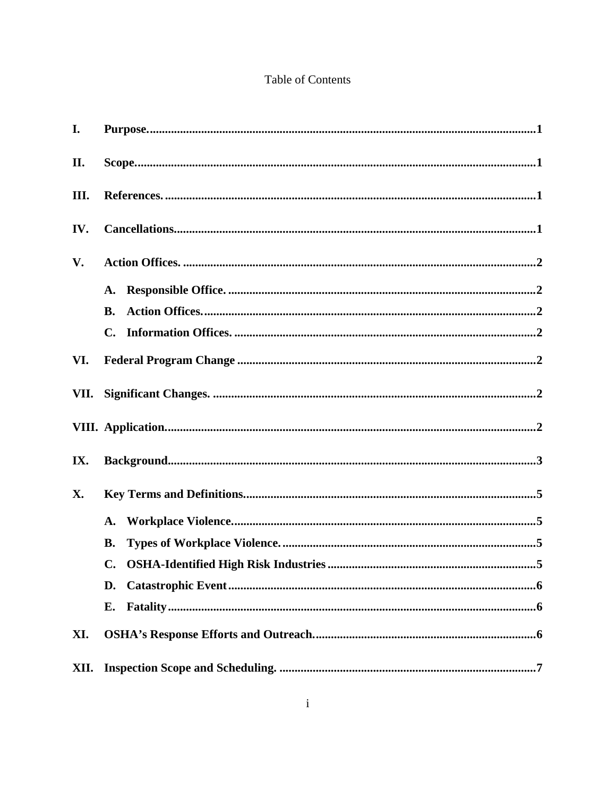# Table of Contents

| I.        | Purpose. 1     |
|-----------|----------------|
| II.       |                |
| III.      |                |
| IV.       |                |
| V.        |                |
|           |                |
|           | <b>B.</b>      |
|           |                |
| VI.       |                |
| VII.      |                |
|           |                |
| IX.       |                |
| <b>X.</b> |                |
|           | A.             |
|           | <b>B.</b>      |
|           | $\mathbf{C}$ . |
|           | D.             |
|           | Е.             |
| XI.       |                |
| XII.      |                |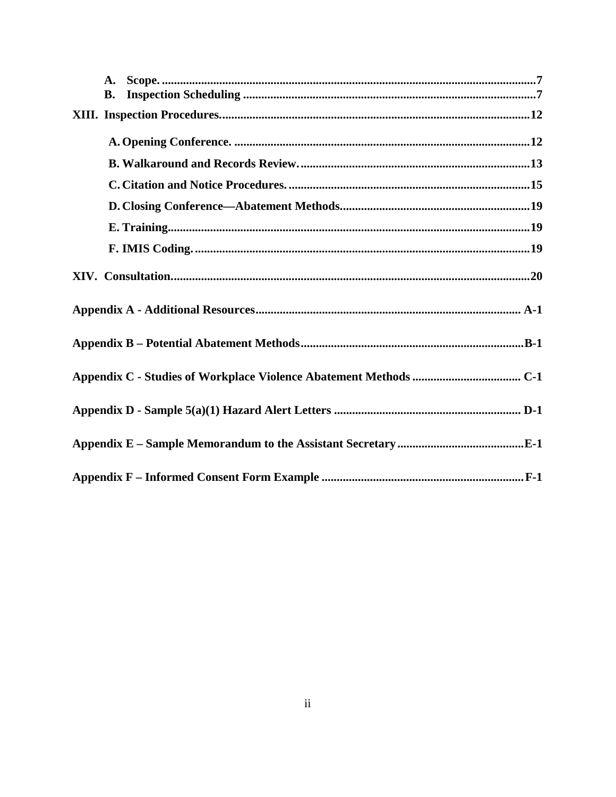| <b>B.</b> |  |
|-----------|--|
|           |  |
|           |  |
|           |  |
|           |  |
|           |  |
|           |  |
|           |  |
|           |  |
|           |  |
|           |  |
|           |  |
|           |  |
|           |  |
|           |  |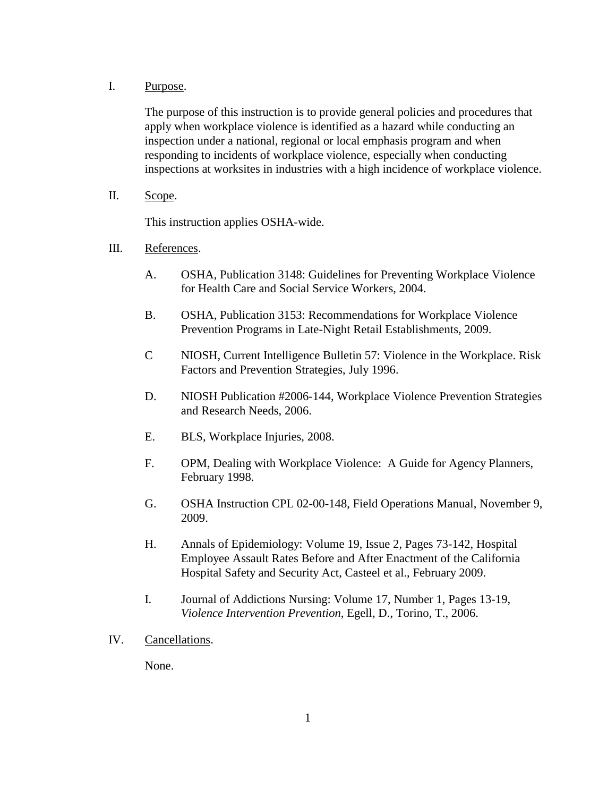#### I. Purpose.

The purpose of this instruction is to provide general policies and procedures that apply when workplace violence is identified as a hazard while conducting an inspection under a national, regional or local emphasis program and when responding to incidents of workplace violence, especially when conducting inspections at worksites in industries with a high incidence of workplace violence.

II. Scope.

This instruction applies OSHA-wide.

#### III. References.

- A. OSHA, Publication 3148: Guidelines for Preventing Workplace Violence for Health Care and Social Service Workers, 2004.
- B. OSHA, Publication 3153: Recommendations for Workplace Violence Prevention Programs in Late-Night Retail Establishments, 2009.
- C NIOSH, Current Intelligence Bulletin 57: Violence in the Workplace. Risk Factors and Prevention Strategies, July 1996.
- D. NIOSH Publication #2006-144, Workplace Violence Prevention Strategies and Research Needs, 2006.
- E. BLS, Workplace Injuries, 2008.
- F. OPM, Dealing with Workplace Violence: A Guide for Agency Planners, February 1998.
- G. OSHA Instruction CPL 02-00-148, Field Operations Manual, November 9, 2009.
- H. Annals of Epidemiology: Volume 19, Issue 2, Pages 73-142, Hospital Employee Assault Rates Before and After Enactment of the California Hospital Safety and Security Act, Casteel et al., February 2009.
- I. Journal of Addictions Nursing: Volume 17, Number 1, Pages 13-19, *Violence Intervention Prevention*, Egell, D., Torino, T., 2006.
- IV. Cancellations.

None.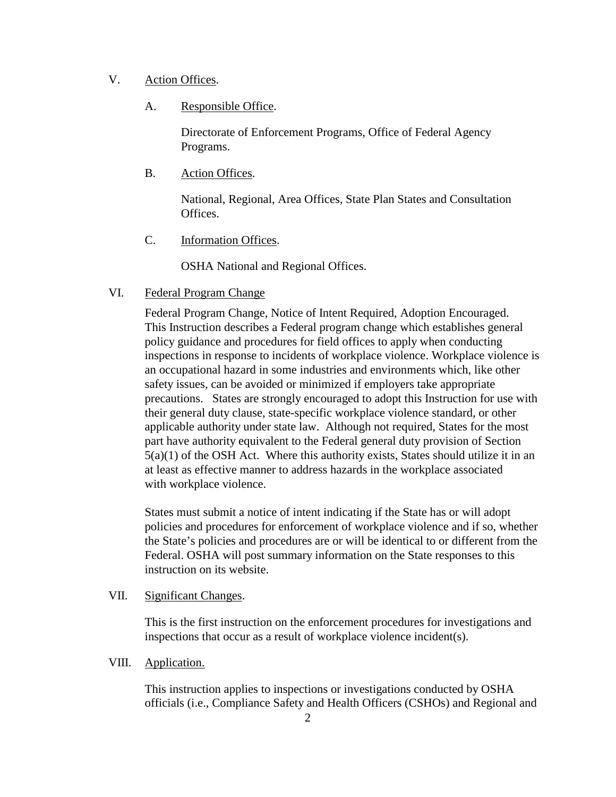#### V. Action Offices.

#### A. Responsible Office.

Directorate of Enforcement Programs, Office of Federal Agency Programs.

B. Action Offices.

National, Regional, Area Offices, State Plan States and Consultation Offices.

C. Information Offices.

OSHA National and Regional Offices.

#### VI. Federal Program Change

Federal Program Change, Notice of Intent Required, Adoption Encouraged. This Instruction describes a Federal program change which establishes general policy guidance and procedures for field offices to apply when conducting inspections in response to incidents of workplace violence. Workplace violence is an occupational hazard in some industries and environments which, like other safety issues, can be avoided or minimized if employers take appropriate precautions. States are strongly encouraged to adopt this Instruction for use with their general duty clause, state-specific workplace violence standard, or other applicable authority under state law. Although not required, States for the most part have authority equivalent to the Federal general duty provision of Section 5(a)(1) of the OSH Act. Where this authority exists, States should utilize it in an at least as effective manner to address hazards in the workplace associated with workplace violence.

States must submit a notice of intent indicating if the State has or will adopt policies and procedures for enforcement of workplace violence and if so, whether the State's policies and procedures are or will be identical to or different from the Federal. OSHA will post summary information on the State responses to this instruction on its website.

#### VII. Significant Changes.

This is the first instruction on the enforcement procedures for investigations and inspections that occur as a result of workplace violence incident(s).

#### VIII. Application.

This instruction applies to inspections or investigations conducted by OSHA officials (i.e., Compliance Safety and Health Officers (CSHOs) and Regional and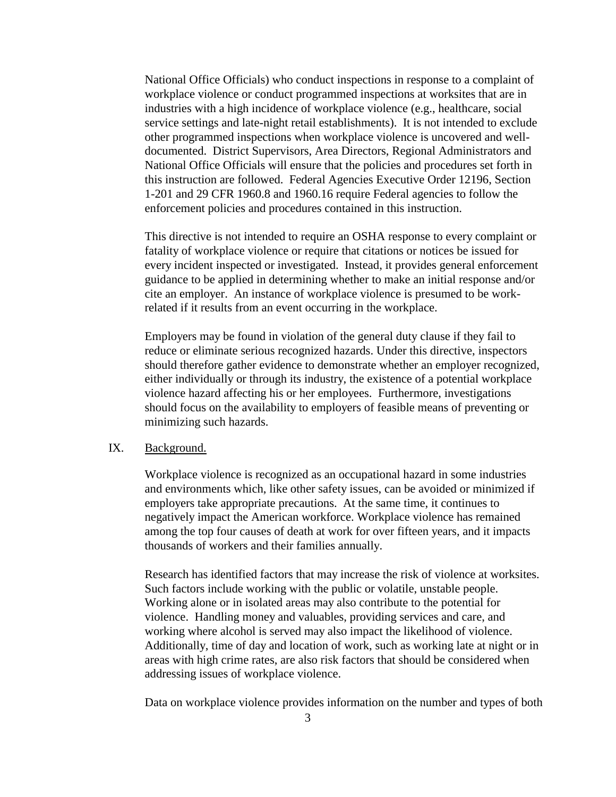National Office Officials) who conduct inspections in response to a complaint of workplace violence or conduct programmed inspections at worksites that are in industries with a high incidence of workplace violence (e.g., healthcare, social service settings and late-night retail establishments). It is not intended to exclude other programmed inspections when workplace violence is uncovered and welldocumented. District Supervisors, Area Directors, Regional Administrators and National Office Officials will ensure that the policies and procedures set forth in this instruction are followed. Federal Agencies Executive Order 12196, Section 1-201 and 29 CFR 1960.8 and 1960.16 require Federal agencies to follow the enforcement policies and procedures contained in this instruction.

This directive is not intended to require an OSHA response to every complaint or fatality of workplace violence or require that citations or notices be issued for every incident inspected or investigated. Instead, it provides general enforcement guidance to be applied in determining whether to make an initial response and/or cite an employer. An instance of workplace violence is presumed to be workrelated if it results from an event occurring in the workplace.

Employers may be found in violation of the general duty clause if they fail to reduce or eliminate serious recognized hazards. Under this directive, inspectors should therefore gather evidence to demonstrate whether an employer recognized, either individually or through its industry, the existence of a potential workplace violence hazard affecting his or her employees. Furthermore, investigations should focus on the availability to employers of feasible means of preventing or minimizing such hazards.

#### IX. Background.

Workplace violence is recognized as an occupational hazard in some industries and environments which, like other safety issues, can be avoided or minimized if employers take appropriate precautions. At the same time, it continues to negatively impact the American workforce. Workplace violence has remained among the top four causes of death at work for over fifteen years, and it impacts thousands of workers and their families annually.

Research has identified factors that may increase the risk of violence at worksites. Such factors include working with the public or volatile, unstable people. Working alone or in isolated areas may also contribute to the potential for violence. Handling money and valuables, providing services and care, and working where alcohol is served may also impact the likelihood of violence. Additionally, time of day and location of work, such as working late at night or in areas with high crime rates, are also risk factors that should be considered when addressing issues of workplace violence.

Data on workplace violence provides information on the number and types of both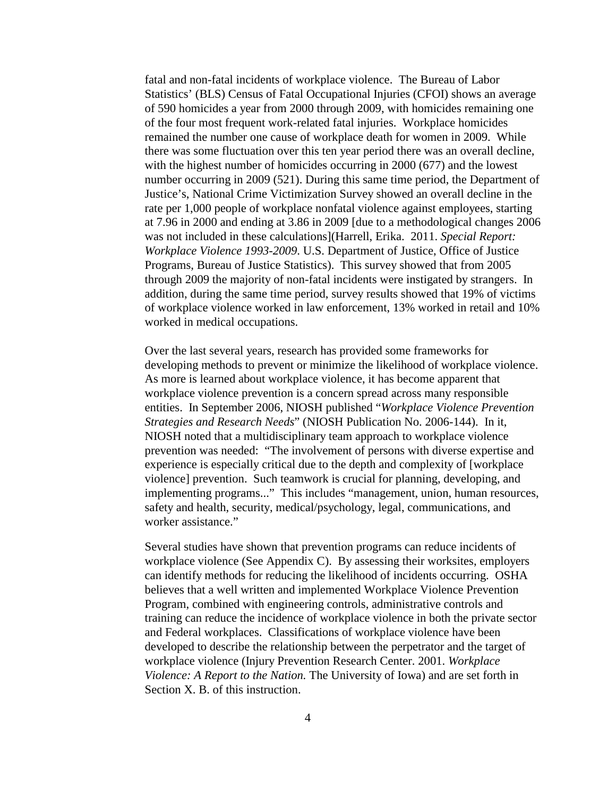fatal and non-fatal incidents of workplace violence. The Bureau of Labor Statistics' (BLS) Census of Fatal Occupational Injuries (CFOI) shows an average of 590 homicides a year from 2000 through 2009, with homicides remaining one of the four most frequent work-related fatal injuries. Workplace homicides remained the number one cause of workplace death for women in 2009. While there was some fluctuation over this ten year period there was an overall decline, with the highest number of homicides occurring in 2000 (677) and the lowest number occurring in 2009 (521). During this same time period, the Department of Justice's, National Crime Victimization Survey showed an overall decline in the rate per 1,000 people of workplace nonfatal violence against employees, starting at 7.96 in 2000 and ending at 3.86 in 2009 [due to a methodological changes 2006 was not included in these calculations](Harrell, Erika. 2011. *Special Report: Workplace Violence 1993-2009*. U.S. Department of Justice, Office of Justice Programs, Bureau of Justice Statistics). This survey showed that from 2005 through 2009 the majority of non-fatal incidents were instigated by strangers. In addition, during the same time period, survey results showed that 19% of victims of workplace violence worked in law enforcement, 13% worked in retail and 10% worked in medical occupations.

Over the last several years, research has provided some frameworks for developing methods to prevent or minimize the likelihood of workplace violence. As more is learned about workplace violence, it has become apparent that workplace violence prevention is a concern spread across many responsible entities. In September 2006, NIOSH published "*Workplace Violence Prevention Strategies and Research Needs*" (NIOSH Publication No. 2006-144). In it, NIOSH noted that a multidisciplinary team approach to workplace violence prevention was needed: "The involvement of persons with diverse expertise and experience is especially critical due to the depth and complexity of [workplace violence] prevention. Such teamwork is crucial for planning, developing, and implementing programs..." This includes "management, union, human resources, safety and health, security, medical/psychology, legal, communications, and worker assistance."

Several studies have shown that prevention programs can reduce incidents of workplace violence (See Appendix C). By assessing their worksites, employers can identify methods for reducing the likelihood of incidents occurring. OSHA believes that a well written and implemented Workplace Violence Prevention Program, combined with engineering controls, administrative controls and training can reduce the incidence of workplace violence in both the private sector and Federal workplaces. Classifications of workplace violence have been developed to describe the relationship between the perpetrator and the target of workplace violence (Injury Prevention Research Center. 2001. *Workplace Violence: A Report to the Nation.* The University of Iowa) and are set forth in Section X. B. of this instruction.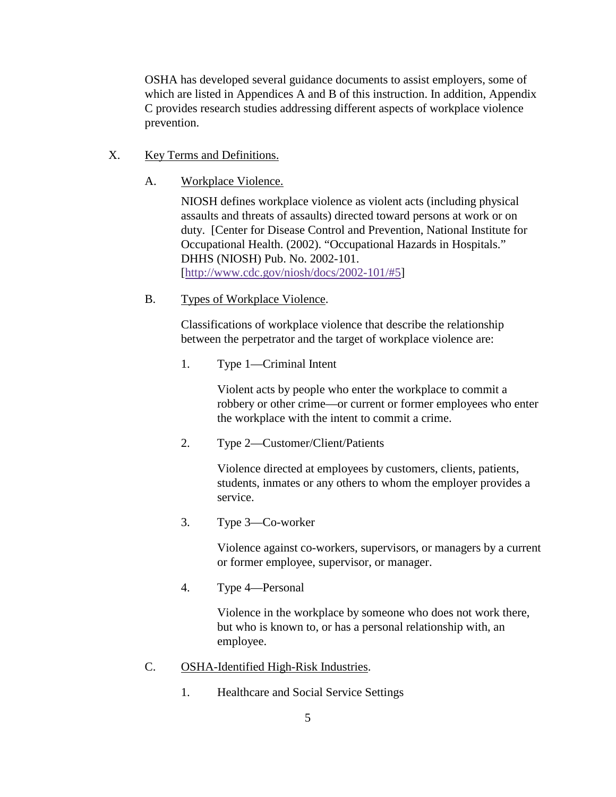OSHA has developed several guidance documents to assist employers, some of which are listed in Appendices A and B of this instruction. In addition, Appendix C provides research studies addressing different aspects of workplace violence prevention.

- X. Key Terms and Definitions.
	- A. Workplace Violence.

NIOSH defines workplace violence as violent acts (including physical assaults and threats of assaults) directed toward persons at work or on duty. [Center for Disease Control and Prevention, National Institute for Occupational Health. (2002). "Occupational Hazards in Hospitals." DHHS (NIOSH) Pub. No. 2002-101. [http://www.cdc.gov/niosh/docs/2002-101/#5]

B. Types of Workplace Violence.

Classifications of workplace violence that describe the relationship between the perpetrator and the target of workplace violence are:

1. Type 1—Criminal Intent

Violent acts by people who enter the workplace to commit a robbery or other crime—or current or former employees who enter the workplace with the intent to commit a crime.

2. Type 2—Customer/Client/Patients

Violence directed at employees by customers, clients, patients, students, inmates or any others to whom the employer provides a service.

3. Type 3—Co-worker

Violence against co-workers, supervisors, or managers by a current or former employee, supervisor, or manager.

4. Type 4—Personal

Violence in the workplace by someone who does not work there, but who is known to, or has a personal relationship with, an employee.

- C. OSHA-Identified High-Risk Industries.
	- 1. Healthcare and Social Service Settings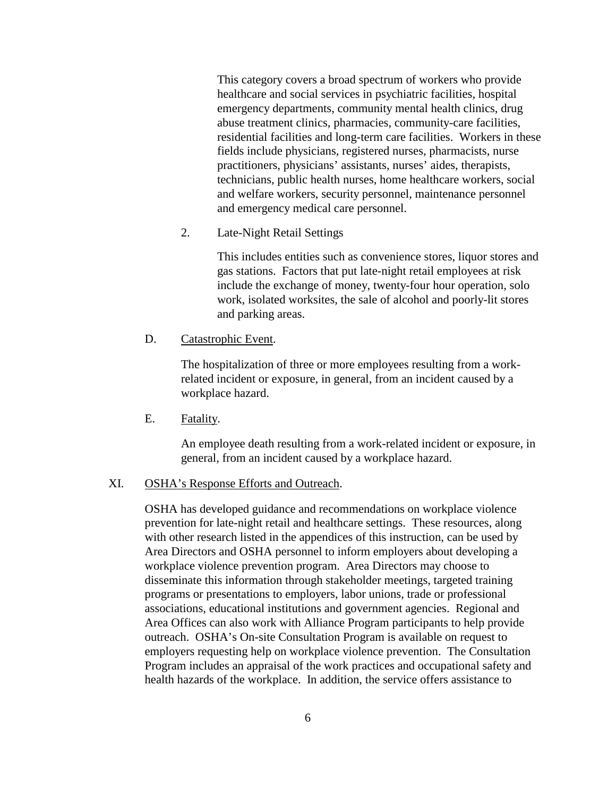This category covers a broad spectrum of workers who provide healthcare and social services in psychiatric facilities, hospital emergency departments, community mental health clinics, drug abuse treatment clinics, pharmacies, community-care facilities, residential facilities and long-term care facilities. Workers in these fields include physicians, registered nurses, pharmacists, nurse practitioners, physicians' assistants, nurses' aides, therapists, technicians, public health nurses, home healthcare workers, social and welfare workers, security personnel, maintenance personnel and emergency medical care personnel.

2. Late-Night Retail Settings

This includes entities such as convenience stores, liquor stores and gas stations. Factors that put late-night retail employees at risk include the exchange of money, twenty-four hour operation, solo work, isolated worksites, the sale of alcohol and poorly-lit stores and parking areas.

D. Catastrophic Event.

The hospitalization of three or more employees resulting from a workrelated incident or exposure, in general, from an incident caused by a workplace hazard.

E. Fatality.

An employee death resulting from a work-related incident or exposure, in general, from an incident caused by a workplace hazard.

#### XI. OSHA's Response Efforts and Outreach.

OSHA has developed guidance and recommendations on workplace violence prevention for late-night retail and healthcare settings. These resources, along with other research listed in the appendices of this instruction, can be used by Area Directors and OSHA personnel to inform employers about developing a workplace violence prevention program. Area Directors may choose to disseminate this information through stakeholder meetings, targeted training programs or presentations to employers, labor unions, trade or professional associations, educational institutions and government agencies. Regional and Area Offices can also work with Alliance Program participants to help provide outreach. OSHA's On-site Consultation Program is available on request to employers requesting help on workplace violence prevention. The Consultation Program includes an appraisal of the work practices and occupational safety and health hazards of the workplace. In addition, the service offers assistance to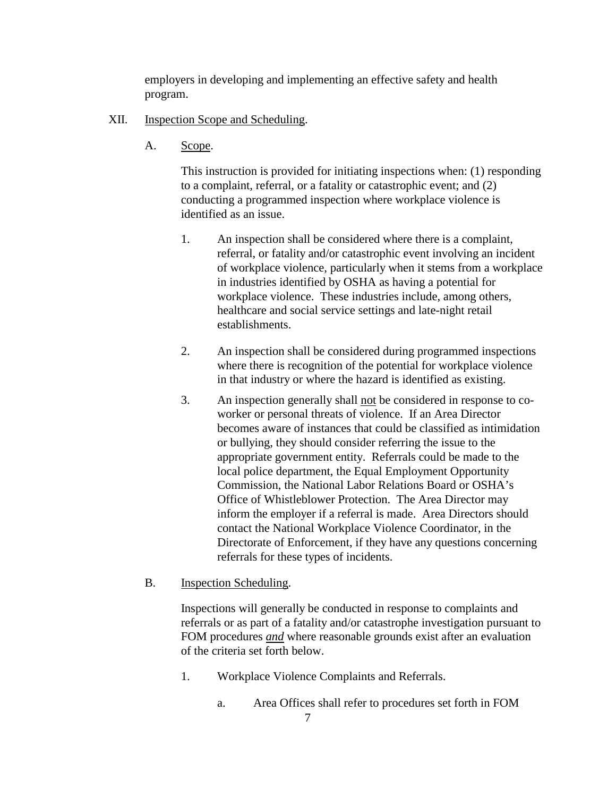employers in developing and implementing an effective safety and health program.

- XII. Inspection Scope and Scheduling.
	- A. Scope.

This instruction is provided for initiating inspections when: (1) responding to a complaint, referral, or a fatality or catastrophic event; and (2) conducting a programmed inspection where workplace violence is identified as an issue.

- 1. An inspection shall be considered where there is a complaint, referral, or fatality and/or catastrophic event involving an incident of workplace violence, particularly when it stems from a workplace in industries identified by OSHA as having a potential for workplace violence. These industries include, among others, healthcare and social service settings and late-night retail establishments.
- 2. An inspection shall be considered during programmed inspections where there is recognition of the potential for workplace violence in that industry or where the hazard is identified as existing.
- 3. An inspection generally shall not be considered in response to coworker or personal threats of violence. If an Area Director becomes aware of instances that could be classified as intimidation or bullying, they should consider referring the issue to the appropriate government entity. Referrals could be made to the local police department, the Equal Employment Opportunity Commission, the National Labor Relations Board or OSHA's Office of Whistleblower Protection. The Area Director may inform the employer if a referral is made. Area Directors should contact the National Workplace Violence Coordinator, in the Directorate of Enforcement, if they have any questions concerning referrals for these types of incidents.
- B. Inspection Scheduling.

Inspections will generally be conducted in response to complaints and referrals or as part of a fatality and/or catastrophe investigation pursuant to FOM procedures *and* where reasonable grounds exist after an evaluation of the criteria set forth below.

- 1. Workplace Violence Complaints and Referrals.
	- a. Area Offices shall refer to procedures set forth in FOM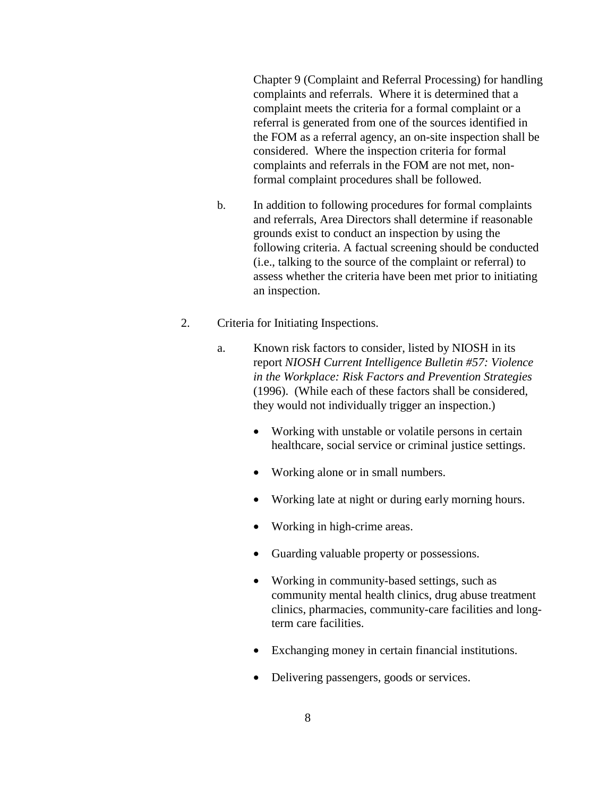Chapter 9 (Complaint and Referral Processing) for handling complaints and referrals. Where it is determined that a complaint meets the criteria for a formal complaint or a referral is generated from one of the sources identified in the FOM as a referral agency, an on-site inspection shall be considered. Where the inspection criteria for formal complaints and referrals in the FOM are not met, nonformal complaint procedures shall be followed.

- b. In addition to following procedures for formal complaints and referrals, Area Directors shall determine if reasonable grounds exist to conduct an inspection by using the following criteria. A factual screening should be conducted (i.e., talking to the source of the complaint or referral) to assess whether the criteria have been met prior to initiating an inspection.
- 2. Criteria for Initiating Inspections.
	- a. Known risk factors to consider, listed by NIOSH in its report *NIOSH Current Intelligence Bulletin #57: Violence in the Workplace: Risk Factors and Prevention Strategies*  (1996). (While each of these factors shall be considered, they would not individually trigger an inspection.)
		- Working with unstable or volatile persons in certain healthcare, social service or criminal justice settings.
		- Working alone or in small numbers.
		- Working late at night or during early morning hours.
		- Working in high-crime areas.
		- Guarding valuable property or possessions.
		- Working in community-based settings, such as community mental health clinics, drug abuse treatment clinics, pharmacies, community-care facilities and longterm care facilities.
		- Exchanging money in certain financial institutions.
		- Delivering passengers, goods or services.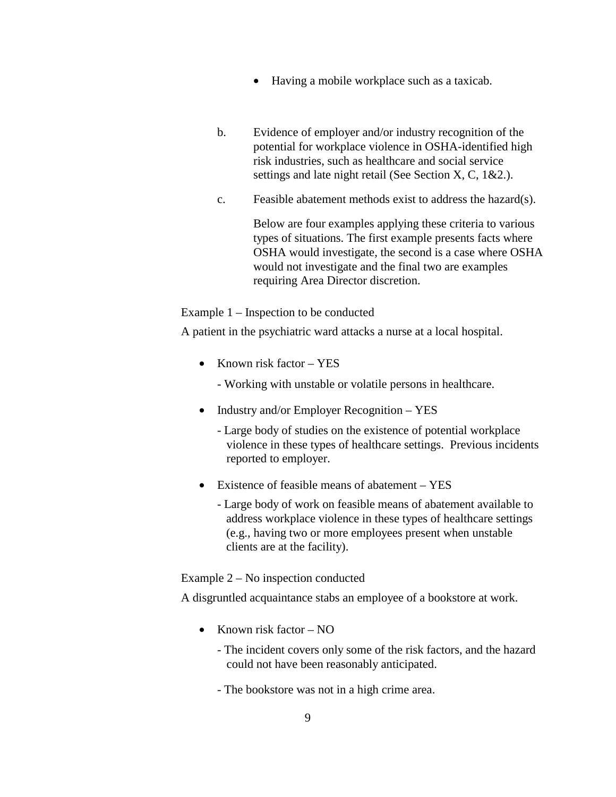- Having a mobile workplace such as a taxicab.
- b. Evidence of employer and/or industry recognition of the potential for workplace violence in OSHA-identified high risk industries, such as healthcare and social service settings and late night retail (See Section X, C, 1&2.).
- c. Feasible abatement methods exist to address the hazard(s).

Below are four examples applying these criteria to various types of situations. The first example presents facts where OSHA would investigate, the second is a case where OSHA would not investigate and the final two are examples requiring Area Director discretion.

Example 1 – Inspection to be conducted

A patient in the psychiatric ward attacks a nurse at a local hospital.

• Known risk factor – YES

- Working with unstable or volatile persons in healthcare.

- Industry and/or Employer Recognition YES
	- Large body of studies on the existence of potential workplace violence in these types of healthcare settings. Previous incidents reported to employer.
- Existence of feasible means of abatement YES
	- Large body of work on feasible means of abatement available to address workplace violence in these types of healthcare settings (e.g., having two or more employees present when unstable clients are at the facility).

Example 2 – No inspection conducted

A disgruntled acquaintance stabs an employee of a bookstore at work.

- Known risk factor NO
	- The incident covers only some of the risk factors, and the hazard could not have been reasonably anticipated.
	- The bookstore was not in a high crime area.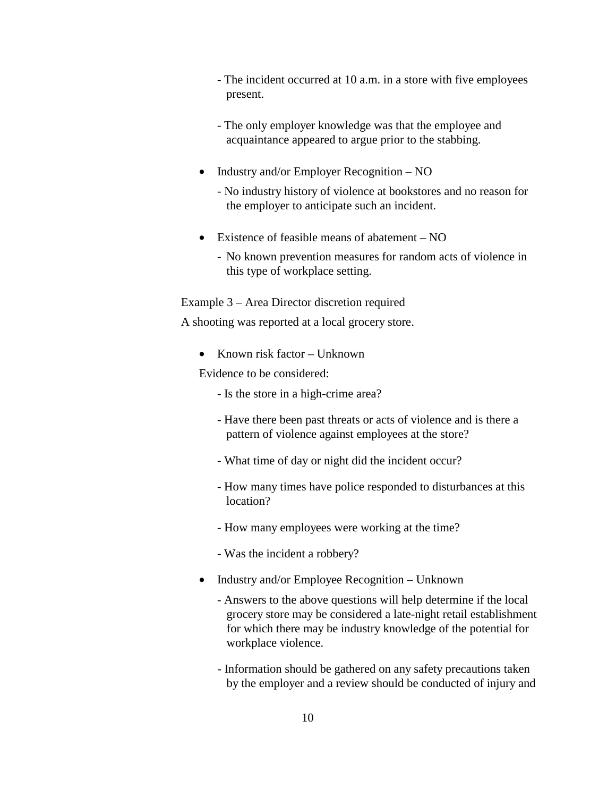- The incident occurred at 10 a.m. in a store with five employees present.
- The only employer knowledge was that the employee and acquaintance appeared to argue prior to the stabbing.
- Industry and/or Employer Recognition NO
	- No industry history of violence at bookstores and no reason for the employer to anticipate such an incident.
- Existence of feasible means of abatement NO
	- No known prevention measures for random acts of violence in this type of workplace setting.

Example 3 – Area Director discretion required

A shooting was reported at a local grocery store.

• Known risk factor – Unknown

Evidence to be considered:

- Is the store in a high-crime area?
- Have there been past threats or acts of violence and is there a pattern of violence against employees at the store?
- What time of day or night did the incident occur?
- How many times have police responded to disturbances at this location?
- How many employees were working at the time?
- Was the incident a robbery?
- Industry and/or Employee Recognition Unknown
	- Answers to the above questions will help determine if the local grocery store may be considered a late-night retail establishment for which there may be industry knowledge of the potential for workplace violence.
	- Information should be gathered on any safety precautions taken by the employer and a review should be conducted of injury and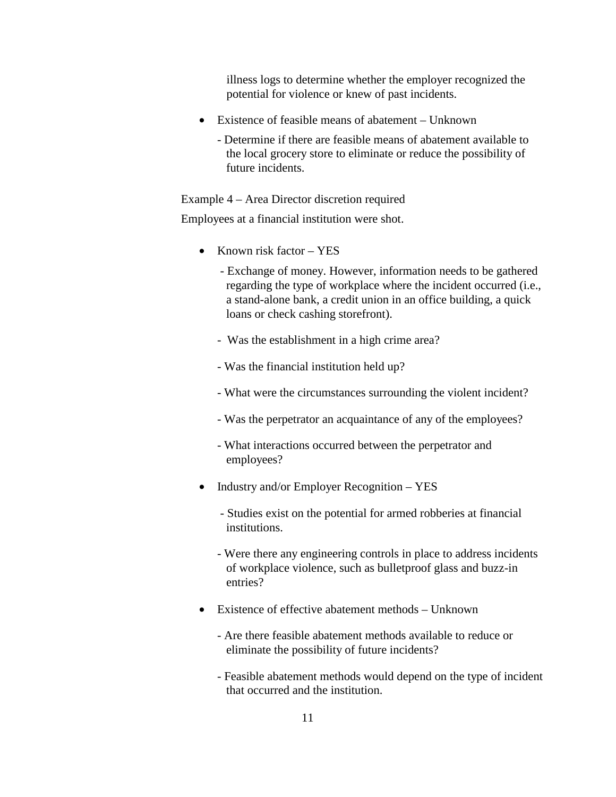illness logs to determine whether the employer recognized the potential for violence or knew of past incidents.

- Existence of feasible means of abatement Unknown
	- Determine if there are feasible means of abatement available to the local grocery store to eliminate or reduce the possibility of future incidents.

Example 4 – Area Director discretion required

Employees at a financial institution were shot.

- Known risk factor YES
	- Exchange of money. However, information needs to be gathered regarding the type of workplace where the incident occurred (i.e., a stand-alone bank, a credit union in an office building, a quick loans or check cashing storefront).
	- Was the establishment in a high crime area?
	- Was the financial institution held up?
	- What were the circumstances surrounding the violent incident?
	- Was the perpetrator an acquaintance of any of the employees?
	- What interactions occurred between the perpetrator and employees?
- Industry and/or Employer Recognition YES
	- Studies exist on the potential for armed robberies at financial institutions.
	- Were there any engineering controls in place to address incidents of workplace violence, such as bulletproof glass and buzz-in entries?
- Existence of effective abatement methods Unknown
	- Are there feasible abatement methods available to reduce or eliminate the possibility of future incidents?
	- Feasible abatement methods would depend on the type of incident that occurred and the institution.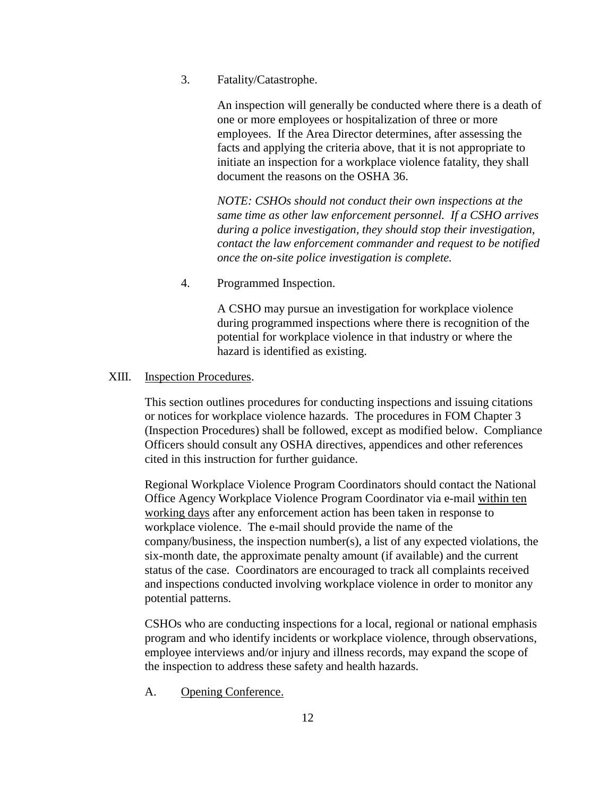3. Fatality/Catastrophe.

An inspection will generally be conducted where there is a death of one or more employees or hospitalization of three or more employees. If the Area Director determines, after assessing the facts and applying the criteria above, that it is not appropriate to initiate an inspection for a workplace violence fatality, they shall document the reasons on the OSHA 36.

*NOTE: CSHOs should not conduct their own inspections at the same time as other law enforcement personnel. If a CSHO arrives during a police investigation, they should stop their investigation, contact the law enforcement commander and request to be notified once the on-site police investigation is complete.* 

4. Programmed Inspection.

A CSHO may pursue an investigation for workplace violence during programmed inspections where there is recognition of the potential for workplace violence in that industry or where the hazard is identified as existing.

#### XIII. Inspection Procedures.

This section outlines procedures for conducting inspections and issuing citations or notices for workplace violence hazards. The procedures in FOM Chapter 3 (Inspection Procedures) shall be followed, except as modified below. Compliance Officers should consult any OSHA directives, appendices and other references cited in this instruction for further guidance.

Regional Workplace Violence Program Coordinators should contact the National Office Agency Workplace Violence Program Coordinator via e-mail within ten working days after any enforcement action has been taken in response to workplace violence. The e-mail should provide the name of the company/business, the inspection number(s), a list of any expected violations, the six-month date, the approximate penalty amount (if available) and the current status of the case. Coordinators are encouraged to track all complaints received and inspections conducted involving workplace violence in order to monitor any potential patterns.

CSHOs who are conducting inspections for a local, regional or national emphasis program and who identify incidents or workplace violence, through observations, employee interviews and/or injury and illness records, may expand the scope of the inspection to address these safety and health hazards.

A. Opening Conference.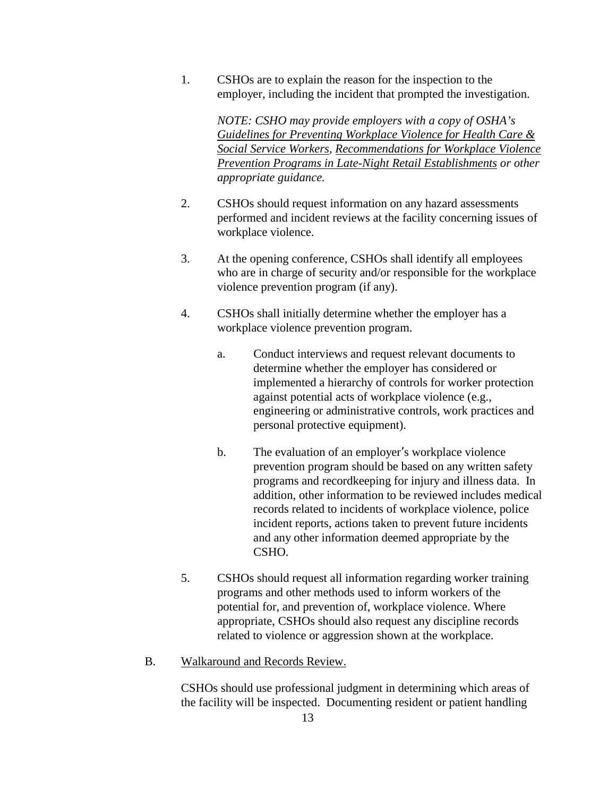1. CSHOs are to explain the reason for the inspection to the employer, including the incident that prompted the investigation.

> *NOTE: CSHO may provide employers with a copy of OSHA's Guidelines for Preventing Workplace Violence for Health Care & Social Service Workers, Recommendations for Workplace Violence Prevention Programs in Late-Night Retail Establishments or other appropriate guidance.*

- 2. CSHOs should request information on any hazard assessments performed and incident reviews at the facility concerning issues of workplace violence.
- 3. At the opening conference, CSHOs shall identify all employees who are in charge of security and/or responsible for the workplace violence prevention program (if any).
- 4. CSHOs shall initially determine whether the employer has a workplace violence prevention program.
	- a. Conduct interviews and request relevant documents to determine whether the employer has considered or implemented a hierarchy of controls for worker protection against potential acts of workplace violence (e.g., engineering or administrative controls, work practices and personal protective equipment).
	- b. The evaluation of an employer's workplace violence prevention program should be based on any written safety programs and recordkeeping for injury and illness data. In addition, other information to be reviewed includes medical records related to incidents of workplace violence, police incident reports, actions taken to prevent future incidents and any other information deemed appropriate by the CSHO.
- 5. CSHOs should request all information regarding worker training programs and other methods used to inform workers of the potential for, and prevention of, workplace violence. Where appropriate, CSHOs should also request any discipline records related to violence or aggression shown at the workplace.
- B. Walkaround and Records Review.

CSHOs should use professional judgment in determining which areas of the facility will be inspected. Documenting resident or patient handling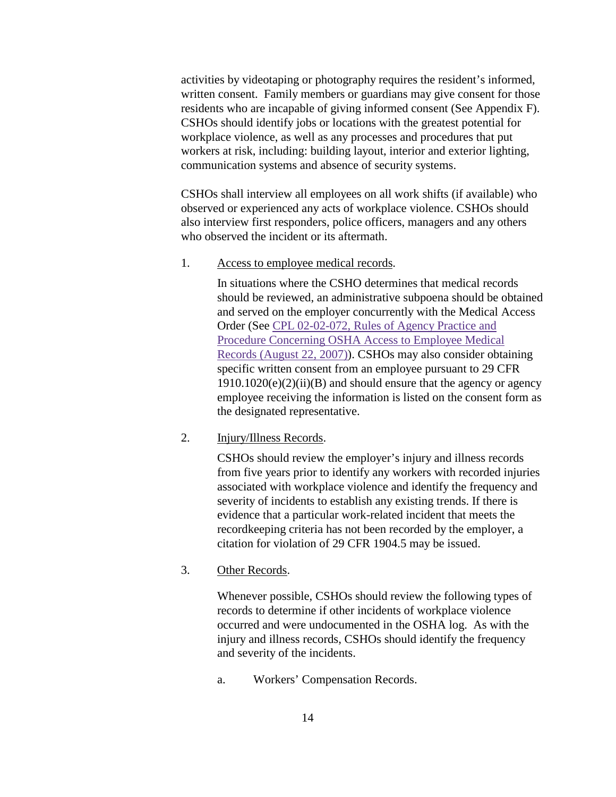activities by videotaping or photography requires the resident's informed, written consent. Family members or guardians may give consent for those residents who are incapable of giving informed consent (See Appendix F). CSHOs should identify jobs or locations with the greatest potential for workplace violence, as well as any processes and procedures that put workers at risk, including: building layout, interior and exterior lighting, communication systems and absence of security systems.

CSHOs shall interview all employees on all work shifts (if available) who observed or experienced any acts of workplace violence. CSHOs should also interview first responders, police officers, managers and any others who observed the incident or its aftermath.

#### 1. Access to employee medical records.

In situations where the CSHO determines that medical records should be reviewed, an administrative subpoena should be obtained and served on the employer concurrently with the Medical Access Order (See CPL 02-02-072, Rules of Agency Practice and [Procedure Concerning OSHA Access to Employee Medical](http://www.osha.gov/pls/oshaweb/owadisp.show_document?p_table=DIRECTIVES&p_id=3669)  Records (August 22, 2007)). CSHOs may also consider obtaining specific written consent from an employee pursuant to 29 CFR  $1910.1020(e)(2)(ii)(B)$  and should ensure that the agency or agency employee receiving the information is listed on the consent form as the designated representative.

### 2. Injury/Illness Records.

CSHOs should review the employer's injury and illness records from five years prior to identify any workers with recorded injuries associated with workplace violence and identify the frequency and severity of incidents to establish any existing trends. If there is evidence that a particular work-related incident that meets the recordkeeping criteria has not been recorded by the employer, a citation for violation of 29 CFR 1904.5 may be issued.

#### 3. Other Records.

Whenever possible, CSHOs should review the following types of records to determine if other incidents of workplace violence occurred and were undocumented in the OSHA log. As with the injury and illness records, CSHOs should identify the frequency and severity of the incidents.

a. Workers' Compensation Records.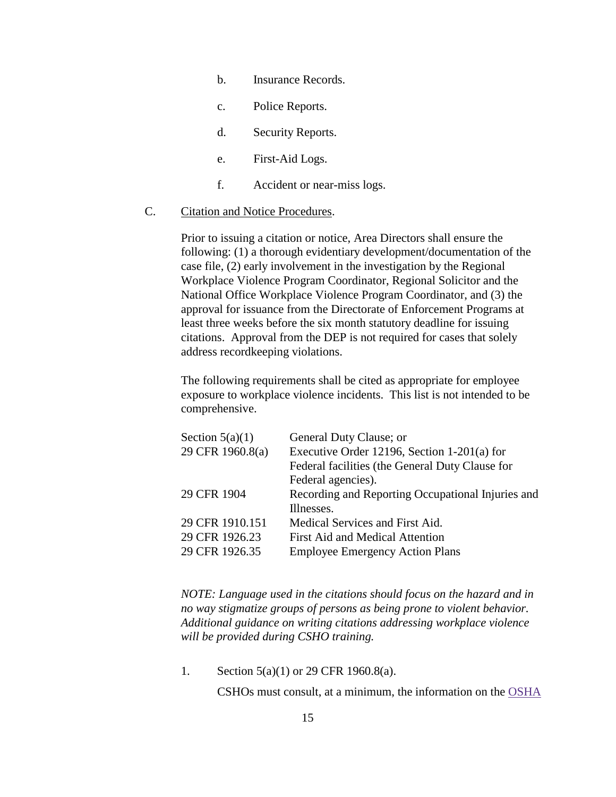- b. Insurance Records.
- c. Police Reports.
- d. Security Reports.
- e. First-Aid Logs.
- f. Accident or near-miss logs.

#### C. Citation and Notice Procedures.

Prior to issuing a citation or notice, Area Directors shall ensure the following: (1) a thorough evidentiary development/documentation of the case file, (2) early involvement in the investigation by the Regional Workplace Violence Program Coordinator, Regional Solicitor and the National Office Workplace Violence Program Coordinator, and (3) the approval for issuance from the Directorate of Enforcement Programs at least three weeks before the six month statutory deadline for issuing citations. Approval from the DEP is not required for cases that solely address recordkeeping violations.

The following requirements shall be cited as appropriate for employee exposure to workplace violence incidents. This list is not intended to be comprehensive.

| Section $5(a)(1)$ | General Duty Clause; or                           |
|-------------------|---------------------------------------------------|
| 29 CFR 1960.8(a)  | Executive Order 12196, Section 1-201(a) for       |
|                   | Federal facilities (the General Duty Clause for   |
|                   | Federal agencies).                                |
| 29 CFR 1904       | Recording and Reporting Occupational Injuries and |
|                   | Illnesses.                                        |
| 29 CFR 1910.151   | Medical Services and First Aid.                   |
| 29 CFR 1926.23    | First Aid and Medical Attention                   |
| 29 CFR 1926.35    | <b>Employee Emergency Action Plans</b>            |
|                   |                                                   |

*NOTE: Language used in the citations should focus on the hazard and in no way stigmatize groups of persons as being prone to violent behavior. Additional guidance on writing citations addressing workplace violence will be provided during CSHO training.* 

1. Section 5(a)(1) or 29 CFR 1960.8(a).

CSHOs must consult, at a minimum, the information on the [OSHA](http://www.osha.gov/SLTC/workplaceviolence/index.html)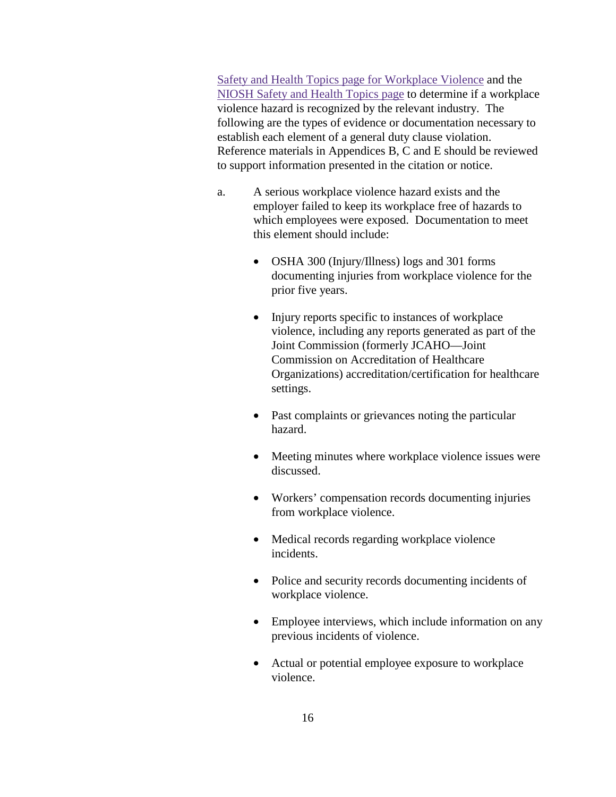[Safety and Health Topics page for Workplace Violence and the](http://www.cdc.gov/niosh/topics/violence/) NIOSH Safety and Health Topics page to determine if a workplace violence hazard is recognized by the relevant industry. The following are the types of evidence or documentation necessary to establish each element of a general duty clause violation. Reference materials in Appendices B, C and E should be reviewed to support information presented in the citation or notice.

- a. A serious workplace violence hazard exists and the employer failed to keep its workplace free of hazards to which employees were exposed. Documentation to meet this element should include:
	- OSHA 300 (Injury/Illness) logs and 301 forms documenting injuries from workplace violence for the prior five years.
	- Injury reports specific to instances of workplace violence, including any reports generated as part of the Joint Commission (formerly JCAHO—Joint Commission on Accreditation of Healthcare Organizations) accreditation/certification for healthcare settings.
	- Past complaints or grievances noting the particular hazard.
	- Meeting minutes where workplace violence issues were discussed.
	- Workers' compensation records documenting injuries from workplace violence.
	- Medical records regarding workplace violence incidents.
	- Police and security records documenting incidents of workplace violence.
	- Employee interviews, which include information on any previous incidents of violence.
	- Actual or potential employee exposure to workplace violence.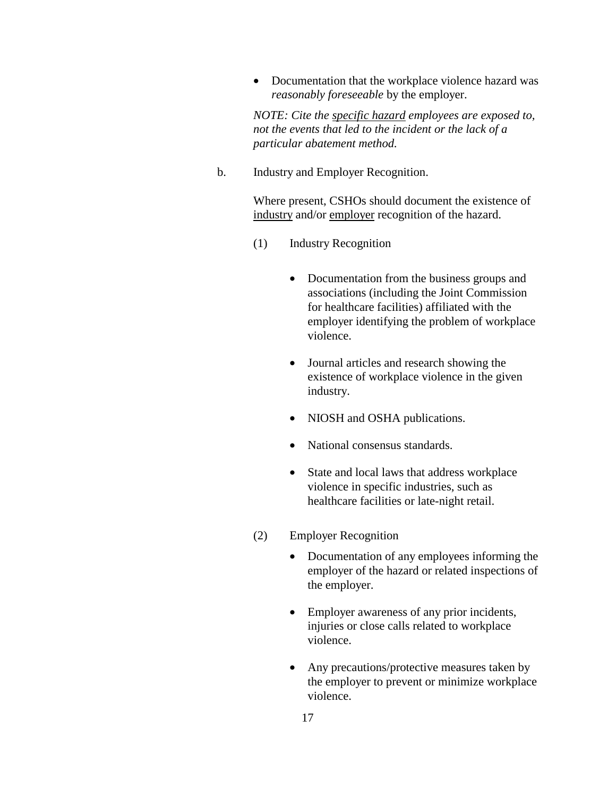• Documentation that the workplace violence hazard was *reasonably foreseeable* by the employer.

*NOTE: Cite the specific hazard employees are exposed to, not the events that led to the incident or the lack of a particular abatement method.* 

b. Industry and Employer Recognition.

Where present, CSHOs should document the existence of industry and/or employer recognition of the hazard.

- (1) Industry Recognition
	- Documentation from the business groups and associations (including the Joint Commission for healthcare facilities) affiliated with the employer identifying the problem of workplace violence.
	- Journal articles and research showing the existence of workplace violence in the given industry.
	- NIOSH and OSHA publications.
	- National consensus standards.
	- State and local laws that address workplace violence in specific industries, such as healthcare facilities or late-night retail.

#### (2) Employer Recognition

- Documentation of any employees informing the employer of the hazard or related inspections of the employer.
- Employer awareness of any prior incidents, injuries or close calls related to workplace violence.
- Any precautions/protective measures taken by the employer to prevent or minimize workplace violence.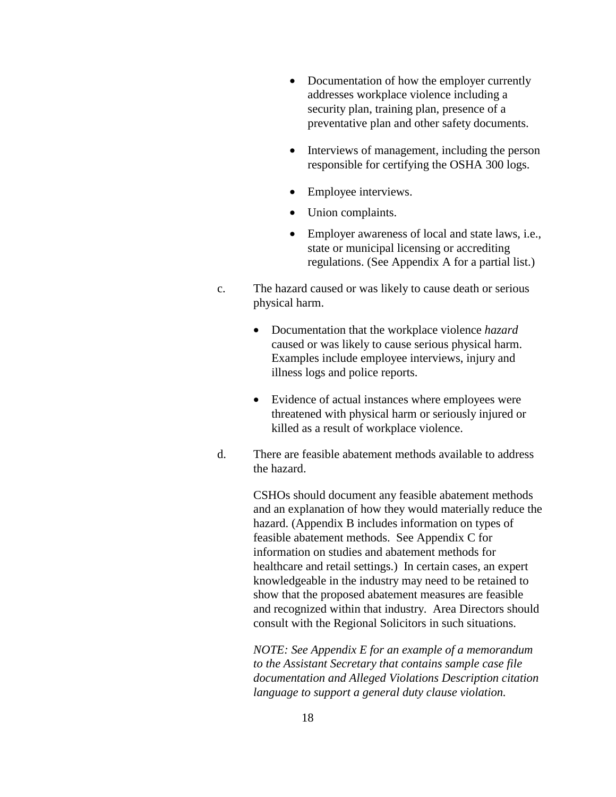- Documentation of how the employer currently addresses workplace violence including a security plan, training plan, presence of a preventative plan and other safety documents.
- Interviews of management, including the person responsible for certifying the OSHA 300 logs.
- Employee interviews.
- Union complaints.
- Employer awareness of local and state laws, i.e., state or municipal licensing or accrediting regulations. (See Appendix A for a partial list.)
- c. The hazard caused or was likely to cause death or serious physical harm.
	- Documentation that the workplace violence *hazard* caused or was likely to cause serious physical harm. Examples include employee interviews, injury and illness logs and police reports.
	- Evidence of actual instances where employees were threatened with physical harm or seriously injured or killed as a result of workplace violence.
- d. There are feasible abatement methods available to address the hazard.

CSHOs should document any feasible abatement methods and an explanation of how they would materially reduce the hazard. (Appendix B includes information on types of feasible abatement methods. See Appendix C for information on studies and abatement methods for healthcare and retail settings.) In certain cases, an expert knowledgeable in the industry may need to be retained to show that the proposed abatement measures are feasible and recognized within that industry. Area Directors should consult with the Regional Solicitors in such situations.

*NOTE: See Appendix E for an example of a memorandum to the Assistant Secretary that contains sample case file documentation and Alleged Violations Description citation language to support a general duty clause violation.*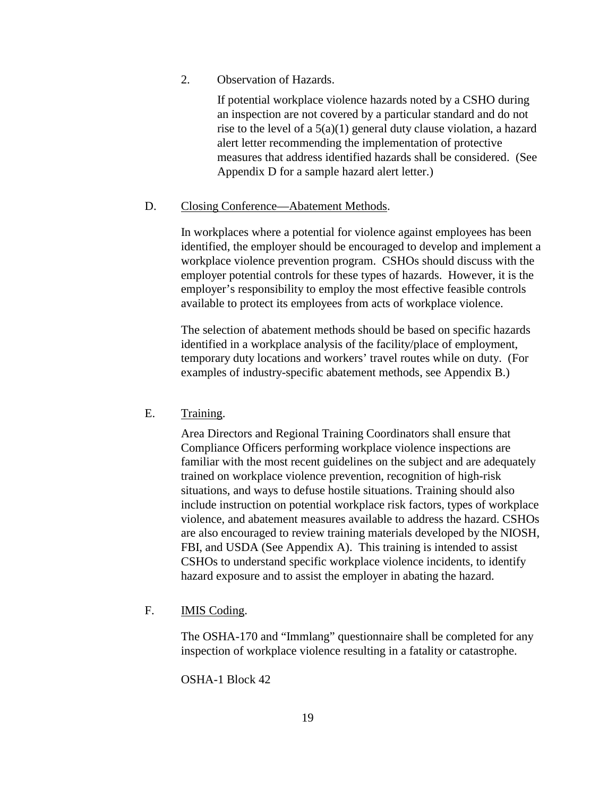2. Observation of Hazards.

If potential workplace violence hazards noted by a CSHO during an inspection are not covered by a particular standard and do not rise to the level of a 5(a)(1) general duty clause violation, a hazard alert letter recommending the implementation of protective measures that address identified hazards shall be considered. (See Appendix D for a sample hazard alert letter.)

#### D. Closing Conference—Abatement Methods.

In workplaces where a potential for violence against employees has been identified, the employer should be encouraged to develop and implement a workplace violence prevention program. CSHOs should discuss with the employer potential controls for these types of hazards. However, it is the employer's responsibility to employ the most effective feasible controls available to protect its employees from acts of workplace violence.

The selection of abatement methods should be based on specific hazards identified in a workplace analysis of the facility/place of employment, temporary duty locations and workers' travel routes while on duty. (For examples of industry-specific abatement methods, see Appendix B.)

#### E. Training.

Area Directors and Regional Training Coordinators shall ensure that Compliance Officers performing workplace violence inspections are familiar with the most recent guidelines on the subject and are adequately trained on workplace violence prevention, recognition of high-risk situations, and ways to defuse hostile situations. Training should also include instruction on potential workplace risk factors, types of workplace violence, and abatement measures available to address the hazard. CSHOs are also encouraged to review training materials developed by the NIOSH, FBI, and USDA (See Appendix A). This training is intended to assist CSHOs to understand specific workplace violence incidents, to identify hazard exposure and to assist the employer in abating the hazard.

#### F. IMIS Coding.

The OSHA-170 and "Immlang" questionnaire shall be completed for any inspection of workplace violence resulting in a fatality or catastrophe.

OSHA-1 Block 42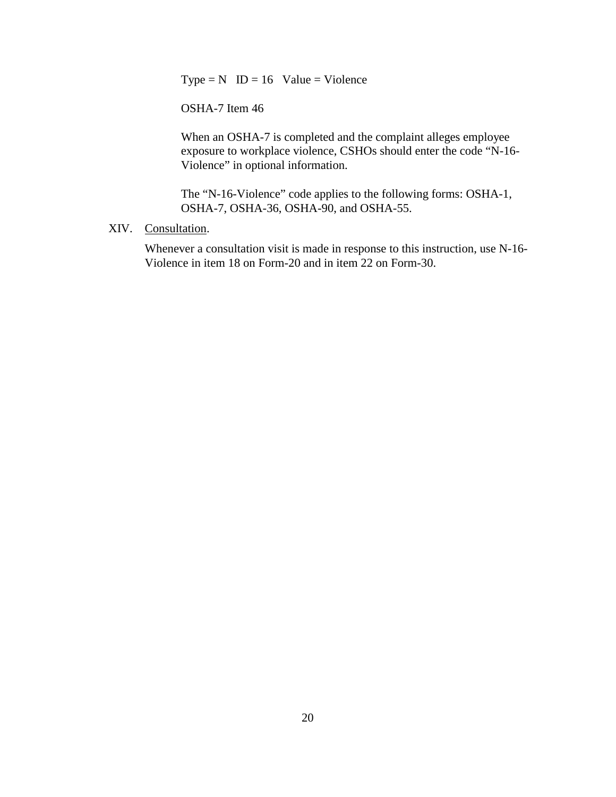$Type = N \quad ID = 16 \quad Value = Violence$ 

OSHA-7 Item 46

When an OSHA-7 is completed and the complaint alleges employee exposure to workplace violence, CSHOs should enter the code "N-16- Violence" in optional information.

The "N-16-Violence" code applies to the following forms: OSHA-1, OSHA-7, OSHA-36, OSHA-90, and OSHA-55.

### XIV. Consultation.

Whenever a consultation visit is made in response to this instruction, use N-16- Violence in item 18 on Form-20 and in item 22 on Form-30.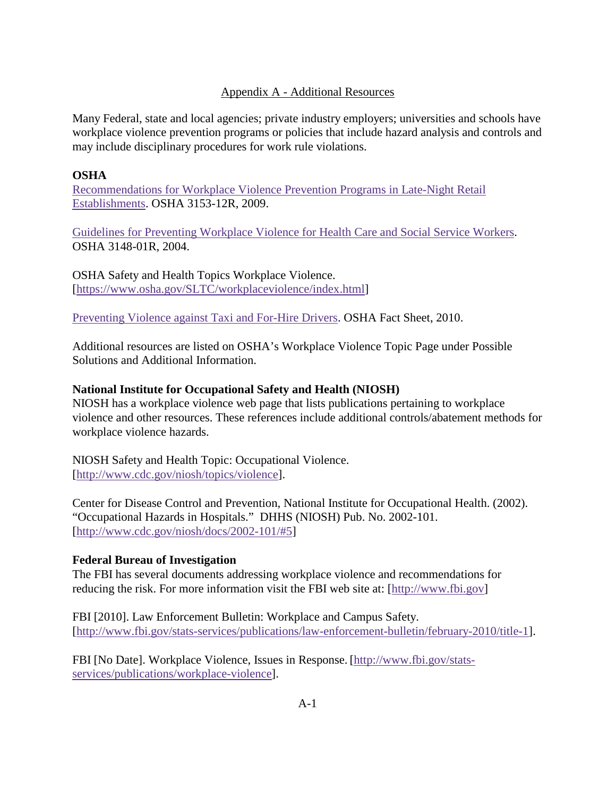## Appendix A - Additional Resources

Many Federal, state and local agencies; private industry employers; universities and schools have workplace violence prevention programs or policies that include hazard analysis and controls and may include disciplinary procedures for work rule violations.

## **OSHA**

[Recommendations for Workplace Violence Prevention Programs in Late-Night Retail](http://www.osha.gov/Publications/osha3153.pdf) Establishments. OSHA 3153-12R, 2009.

[Guidelines for Preventing Workplace Violence for Health Care and Social Service Workers](http://www.osha.gov/Publications/osha3148.pdf). OSHA 3148-01R, 2004.

OSHA Safety and Health Topics Workplace Violence. [https://www.osha.gov/SLTC/workplaceviolence/index.html]

[Preventing Violence against Taxi and For-Hire Drivers.](http://www.osha.gov/Publications/taxi-driver-violence-factsheet.pdf) OSHA Fact Sheet, 2010.

Additional resources are listed on OSHA's Workplace Violence Topic Page under Possible Solutions and Additional Information.

## **National Institute for Occupational Safety and Health (NIOSH)**

NIOSH has a workplace violence web page that lists publications pertaining to workplace violence and other resources. These references include additional controls/abatement methods for workplace violence hazards.

NIOSH Safety and Health Topic: Occupational Violence. [http://www.cdc.gov/niosh/topics/violence].

Center for Disease Control and Prevention, National Institute for Occupational Health. (2002). "Occupational Hazards in Hospitals." DHHS (NIOSH) Pub. No. 2002-101. [http://www.cdc.gov/niosh/docs/2002-101/#5]

# **Federal Bureau of Investigation**

The FBI has several documents addressing workplace violence and recommendations for reducing the risk. For more information visit the FBI web site at: [http://www.fbi.gov]

FBI [2010]. Law Enforcement Bulletin: Workplace and Campus Safety. [http://www.fbi.gov/stats-services/publications/law-enforcement-bulletin/february-2010/title-1].

FBI [No Date]. Workplace Violence, Issues in Response. [http://www.fbi.gov/statsservices/publications/workplace-violence].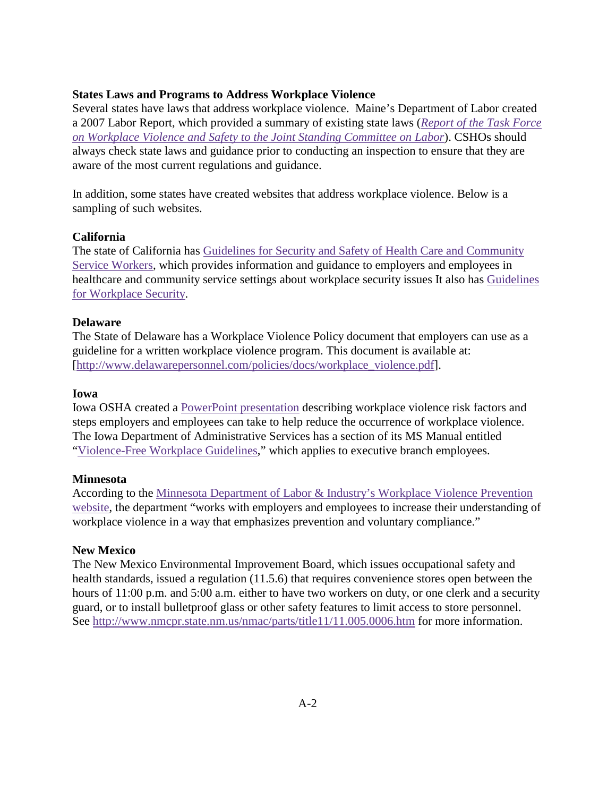### **States Laws and Programs to Address Workplace Violence**

Several states have laws that address workplace violence. Maine's Department of Labor created a 2007 Labor Report, which provided a summary of existing state laws (*Report of the Task Force [on Workplace Violence and Safety to the Joint Standing Committee on Labor](http://www.maine.gov/labor/labor_stats/publications/workplaceviolence.pdf)*). CSHOs should always check state laws and guidance prior to conducting an inspection to ensure that they are aware of the most current regulations and guidance.

In addition, some states have created websites that address workplace violence. Below is a sampling of such websites.

#### **California**

[The state of California has Guidelines for Security and Safety of Health Care and Community](http://www.dir.ca.gov/dosh/dosh_publications/hcworker.html)  Service Workers, which provides information and guidance to employers and employees in [healthcare and community service settings about workplace security issues It also has Guidelines](http://www.dir.ca.gov/dosh/dosh_publications/worksecurity.html) for Workplace Security.

#### **Delaware**

The State of Delaware has a Workplace Violence Policy document that employers can use as a guideline for a written workplace violence program. This document is available at: [http://www.delawarepersonnel.com/policies/docs/workplace\_violence.pdf].

#### **Iowa**

Iowa OSHA created a [PowerPoint presentation](http://www.iowaworkforce.org/files/safety/YouthWorkplaceViolence.ppt) describing workplace violence risk factors and steps employers and employees can take to help reduce the occurrence of workplace violence. The Iowa Department of Administrative Services has a section of its MS Manual entitled ["Violence-Free Workplace Guidelines](http://das.hre.iowa.gov/html_documents/ms_manual/09-75.htm)," which applies to executive branch employees.

#### **Minnesota**

[According to the Minnesota Department of Labor & Industry's Workplace Violence Prevention](http://www.doli.state.mn.us/WSC/wvp.asp)  website, the department "works with employers and employees to increase their understanding of workplace violence in a way that emphasizes prevention and voluntary compliance."

#### **New Mexico**

The New Mexico Environmental Improvement Board, which issues occupational safety and health standards, issued a regulation (11.5.6) that requires convenience stores open between the hours of 11:00 p.m. and 5:00 a.m. either to have two workers on duty, or one clerk and a security guard, or to install bulletproof glass or other safety features to limit access to store personnel. See http://www.nmcpr.state.nm.us/nmac/parts/title11/11.005.0006.htm for more information.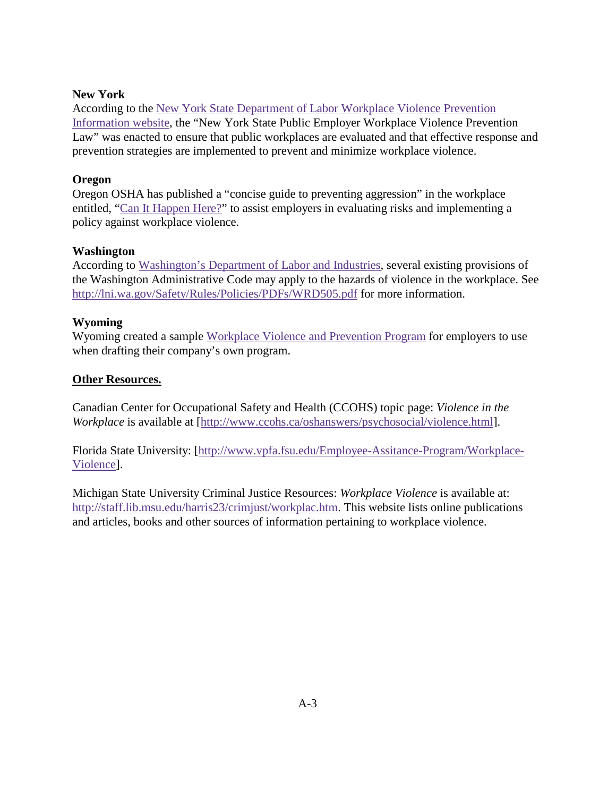### **New York**

[According to the New York State Department of Labor Workplace Violence Prevention](http://www.labor.ny.gov/workerprotection/safetyhealth/workplaceviolence.shtm) Information website, the "New York State Public Employer Workplace Violence Prevention Law" was enacted to ensure that public workplaces are evaluated and that effective response and prevention strategies are implemented to prevent and minimize workplace violence.

### **Oregon**

Oregon OSHA has published a "concise guide to preventing aggression" in the workplace entitled, ["Can It Happen Here](http://www.cbs.state.or.us/external/osha/pdf/pubs/2857.pdf)?" to assist employers in evaluating risks and implementing a policy against workplace violence.

### **Washington**

According to [Washington's Department of Labor and Industries](http://www.lni.wa.gov/Safety/Topics/AtoZ/WPV/default.asp), several existing provisions of the Washington Administrative Code may apply to the hazards of violence in the workplace. See http://lni.wa.gov/Safety/Rules/Policies/PDFs/WRD505.pdf for more information.

## **Wyoming**

Wyoming created a sample [Workplace Violence and Prevention Program](http://www.doe.wyo.gov/productiondocuments/osha/safety programs/violence.doc) for employers to use when drafting their company's own program.

## **Other Resources.**

Canadian Center for Occupational Safety and Health (CCOHS) topic page: *Violence in the Workplace* is available at [http://www.ccohs.ca/oshanswers/psychosocial/violence.html].

Florida State University: [http://www.vpfa.fsu.edu/Employee-Assitance-Program/Workplace-Violence].

Michigan State University Criminal Justice Resources: *Workplace Violence* is available at: http://staff.lib.msu.edu/harris23/crimjust/workplac.htm. This website lists online publications and articles, books and other sources of information pertaining to workplace violence.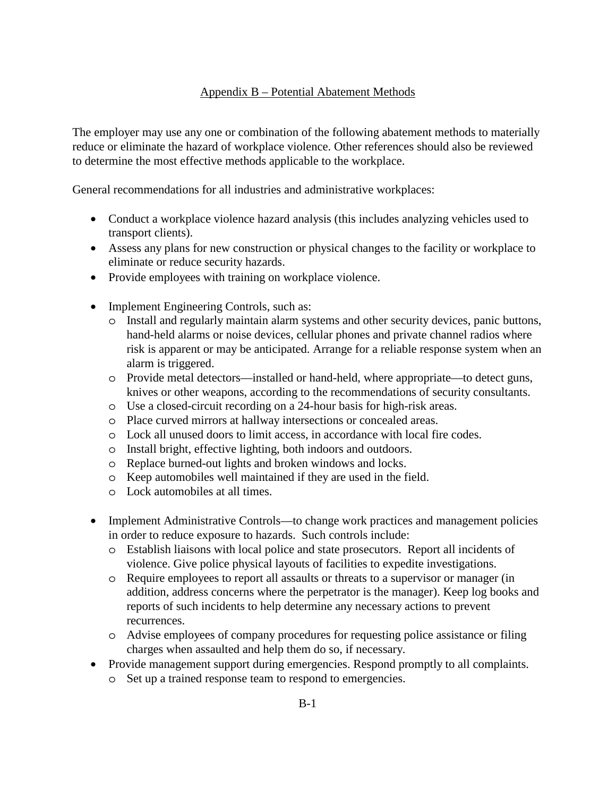### Appendix B – Potential Abatement Methods

The employer may use any one or combination of the following abatement methods to materially reduce or eliminate the hazard of workplace violence. Other references should also be reviewed to determine the most effective methods applicable to the workplace.

General recommendations for all industries and administrative workplaces:

- Conduct a workplace violence hazard analysis (this includes analyzing vehicles used to transport clients).
- Assess any plans for new construction or physical changes to the facility or workplace to eliminate or reduce security hazards.
- Provide employees with training on workplace violence.
- Implement Engineering Controls, such as:
	- o Install and regularly maintain alarm systems and other security devices, panic buttons, hand-held alarms or noise devices, cellular phones and private channel radios where risk is apparent or may be anticipated. Arrange for a reliable response system when an alarm is triggered.
	- o Provide metal detectors—installed or hand-held, where appropriate—to detect guns, knives or other weapons, according to the recommendations of security consultants.
	- o Use a closed-circuit recording on a 24-hour basis for high-risk areas.
	- o Place curved mirrors at hallway intersections or concealed areas.
	- o Lock all unused doors to limit access, in accordance with local fire codes.
	- o Install bright, effective lighting, both indoors and outdoors.
	- o Replace burned-out lights and broken windows and locks.
	- o Keep automobiles well maintained if they are used in the field.
	- o Lock automobiles at all times.
- Implement Administrative Controls—to change work practices and management policies in order to reduce exposure to hazards. Such controls include:
	- o Establish liaisons with local police and state prosecutors. Report all incidents of violence. Give police physical layouts of facilities to expedite investigations.
	- o Require employees to report all assaults or threats to a supervisor or manager (in addition, address concerns where the perpetrator is the manager). Keep log books and reports of such incidents to help determine any necessary actions to prevent recurrences.
	- o Advise employees of company procedures for requesting police assistance or filing charges when assaulted and help them do so, if necessary.
- Provide management support during emergencies. Respond promptly to all complaints.
	- o Set up a trained response team to respond to emergencies.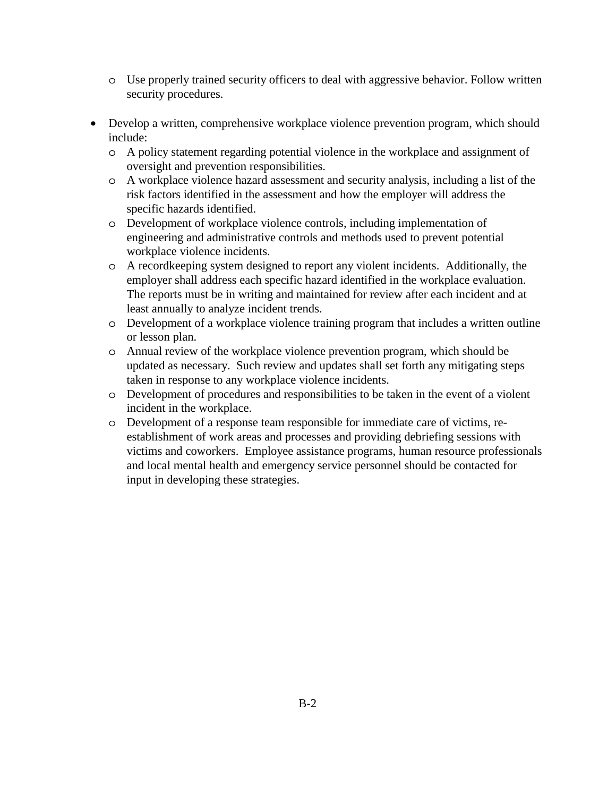- o Use properly trained security officers to deal with aggressive behavior. Follow written security procedures.
- Develop a written, comprehensive workplace violence prevention program, which should include:
	- o A policy statement regarding potential violence in the workplace and assignment of oversight and prevention responsibilities.
	- o A workplace violence hazard assessment and security analysis, including a list of the risk factors identified in the assessment and how the employer will address the specific hazards identified.
	- o Development of workplace violence controls, including implementation of engineering and administrative controls and methods used to prevent potential workplace violence incidents.
	- o A recordkeeping system designed to report any violent incidents. Additionally, the employer shall address each specific hazard identified in the workplace evaluation. The reports must be in writing and maintained for review after each incident and at least annually to analyze incident trends.
	- o Development of a workplace violence training program that includes a written outline or lesson plan.
	- o Annual review of the workplace violence prevention program, which should be updated as necessary. Such review and updates shall set forth any mitigating steps taken in response to any workplace violence incidents.
	- o Development of procedures and responsibilities to be taken in the event of a violent incident in the workplace.
	- o Development of a response team responsible for immediate care of victims, reestablishment of work areas and processes and providing debriefing sessions with victims and coworkers. Employee assistance programs, human resource professionals and local mental health and emergency service personnel should be contacted for input in developing these strategies.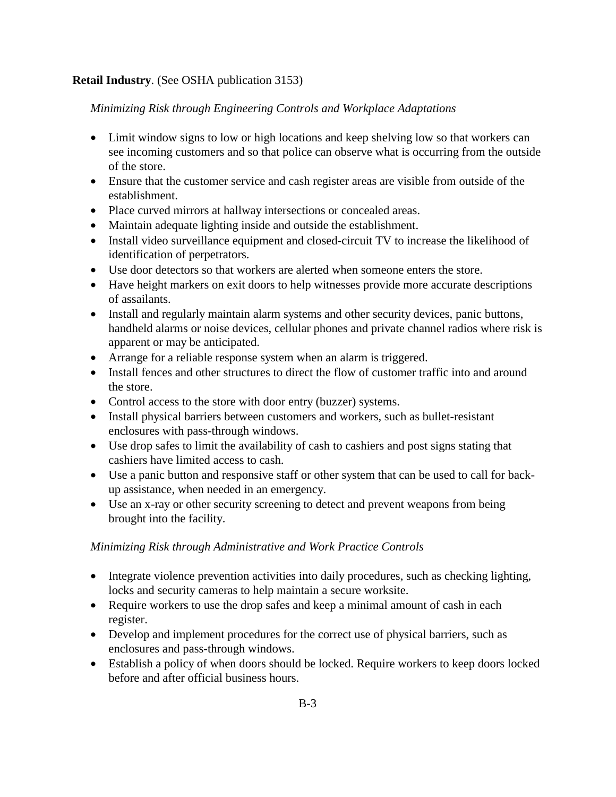## **Retail Industry**. (See OSHA publication 3153)

## *Minimizing Risk through Engineering Controls and Workplace Adaptations*

- Limit window signs to low or high locations and keep shelving low so that workers can see incoming customers and so that police can observe what is occurring from the outside of the store.
- Ensure that the customer service and cash register areas are visible from outside of the establishment.
- Place curved mirrors at hallway intersections or concealed areas.
- Maintain adequate lighting inside and outside the establishment.
- Install video surveillance equipment and closed-circuit TV to increase the likelihood of identification of perpetrators.
- Use door detectors so that workers are alerted when someone enters the store.
- Have height markers on exit doors to help witnesses provide more accurate descriptions of assailants.
- Install and regularly maintain alarm systems and other security devices, panic buttons, handheld alarms or noise devices, cellular phones and private channel radios where risk is apparent or may be anticipated.
- Arrange for a reliable response system when an alarm is triggered.
- Install fences and other structures to direct the flow of customer traffic into and around the store.
- Control access to the store with door entry (buzzer) systems.
- Install physical barriers between customers and workers, such as bullet-resistant enclosures with pass-through windows.
- Use drop safes to limit the availability of cash to cashiers and post signs stating that cashiers have limited access to cash.
- Use a panic button and responsive staff or other system that can be used to call for backup assistance, when needed in an emergency.
- Use an x-ray or other security screening to detect and prevent weapons from being brought into the facility.

## *Minimizing Risk through Administrative and Work Practice Controls*

- Integrate violence prevention activities into daily procedures, such as checking lighting, locks and security cameras to help maintain a secure worksite.
- Require workers to use the drop safes and keep a minimal amount of cash in each register.
- Develop and implement procedures for the correct use of physical barriers, such as enclosures and pass-through windows.
- Establish a policy of when doors should be locked. Require workers to keep doors locked before and after official business hours.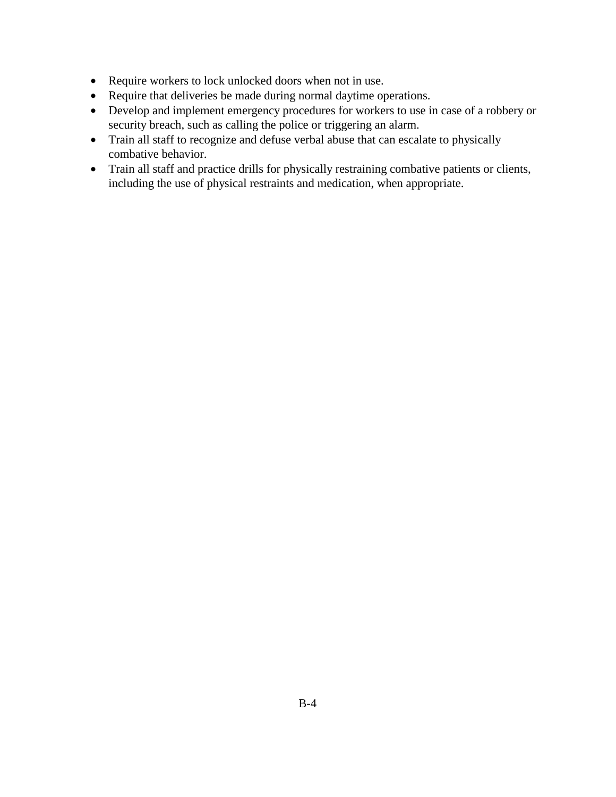- Require workers to lock unlocked doors when not in use.
- Require that deliveries be made during normal daytime operations.
- Develop and implement emergency procedures for workers to use in case of a robbery or security breach, such as calling the police or triggering an alarm.
- Train all staff to recognize and defuse verbal abuse that can escalate to physically combative behavior.
- Train all staff and practice drills for physically restraining combative patients or clients, including the use of physical restraints and medication, when appropriate.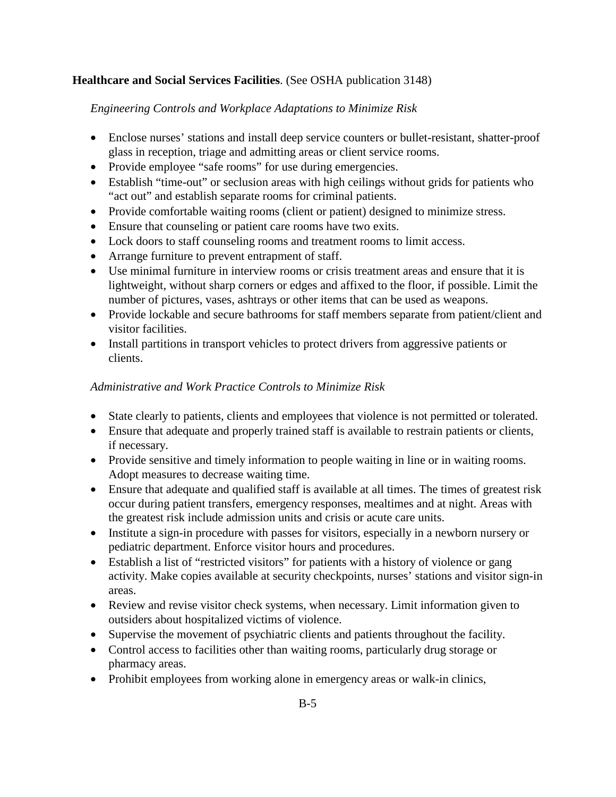## **Healthcare and Social Services Facilities**. (See OSHA publication 3148)

*Engineering Controls and Workplace Adaptations to Minimize Risk* 

- Enclose nurses' stations and install deep service counters or bullet-resistant, shatter-proof glass in reception, triage and admitting areas or client service rooms.
- Provide employee "safe rooms" for use during emergencies.
- Establish "time-out" or seclusion areas with high ceilings without grids for patients who "act out" and establish separate rooms for criminal patients.
- Provide comfortable waiting rooms (client or patient) designed to minimize stress.
- Ensure that counseling or patient care rooms have two exits.
- Lock doors to staff counseling rooms and treatment rooms to limit access.
- Arrange furniture to prevent entrapment of staff.
- Use minimal furniture in interview rooms or crisis treatment areas and ensure that it is lightweight, without sharp corners or edges and affixed to the floor, if possible. Limit the number of pictures, vases, ashtrays or other items that can be used as weapons.
- Provide lockable and secure bathrooms for staff members separate from patient/client and visitor facilities.
- Install partitions in transport vehicles to protect drivers from aggressive patients or clients.

## *Administrative and Work Practice Controls to Minimize Risk*

- State clearly to patients, clients and employees that violence is not permitted or tolerated.
- Ensure that adequate and properly trained staff is available to restrain patients or clients, if necessary.
- Provide sensitive and timely information to people waiting in line or in waiting rooms. Adopt measures to decrease waiting time.
- Ensure that adequate and qualified staff is available at all times. The times of greatest risk occur during patient transfers, emergency responses, mealtimes and at night. Areas with the greatest risk include admission units and crisis or acute care units.
- Institute a sign-in procedure with passes for visitors, especially in a newborn nursery or pediatric department. Enforce visitor hours and procedures.
- Establish a list of "restricted visitors" for patients with a history of violence or gang activity. Make copies available at security checkpoints, nurses' stations and visitor sign-in areas.
- Review and revise visitor check systems, when necessary. Limit information given to outsiders about hospitalized victims of violence.
- Supervise the movement of psychiatric clients and patients throughout the facility.
- Control access to facilities other than waiting rooms, particularly drug storage or pharmacy areas.
- Prohibit employees from working alone in emergency areas or walk-in clinics,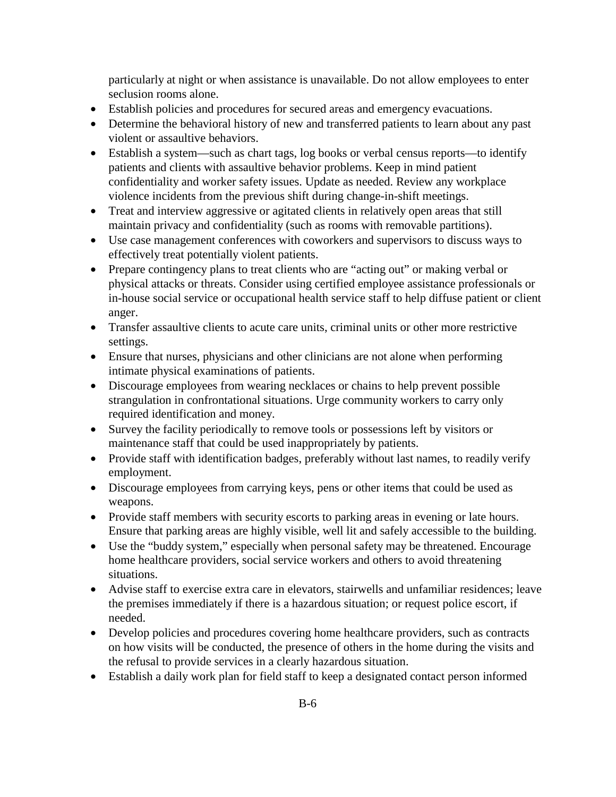particularly at night or when assistance is unavailable. Do not allow employees to enter seclusion rooms alone.

- Establish policies and procedures for secured areas and emergency evacuations.
- Determine the behavioral history of new and transferred patients to learn about any past violent or assaultive behaviors.
- Establish a system—such as chart tags, log books or verbal census reports—to identify patients and clients with assaultive behavior problems. Keep in mind patient confidentiality and worker safety issues. Update as needed. Review any workplace violence incidents from the previous shift during change-in-shift meetings.
- Treat and interview aggressive or agitated clients in relatively open areas that still maintain privacy and confidentiality (such as rooms with removable partitions).
- Use case management conferences with coworkers and supervisors to discuss ways to effectively treat potentially violent patients.
- Prepare contingency plans to treat clients who are "acting out" or making verbal or physical attacks or threats. Consider using certified employee assistance professionals or in-house social service or occupational health service staff to help diffuse patient or client anger.
- Transfer assaultive clients to acute care units, criminal units or other more restrictive settings.
- Ensure that nurses, physicians and other clinicians are not alone when performing intimate physical examinations of patients.
- Discourage employees from wearing necklaces or chains to help prevent possible strangulation in confrontational situations. Urge community workers to carry only required identification and money.
- Survey the facility periodically to remove tools or possessions left by visitors or maintenance staff that could be used inappropriately by patients.
- Provide staff with identification badges, preferably without last names, to readily verify employment.
- Discourage employees from carrying keys, pens or other items that could be used as weapons.
- Provide staff members with security escorts to parking areas in evening or late hours. Ensure that parking areas are highly visible, well lit and safely accessible to the building.
- Use the "buddy system," especially when personal safety may be threatened. Encourage home healthcare providers, social service workers and others to avoid threatening situations.
- Advise staff to exercise extra care in elevators, stairwells and unfamiliar residences; leave the premises immediately if there is a hazardous situation; or request police escort, if needed.
- Develop policies and procedures covering home healthcare providers, such as contracts on how visits will be conducted, the presence of others in the home during the visits and the refusal to provide services in a clearly hazardous situation.
- Establish a daily work plan for field staff to keep a designated contact person informed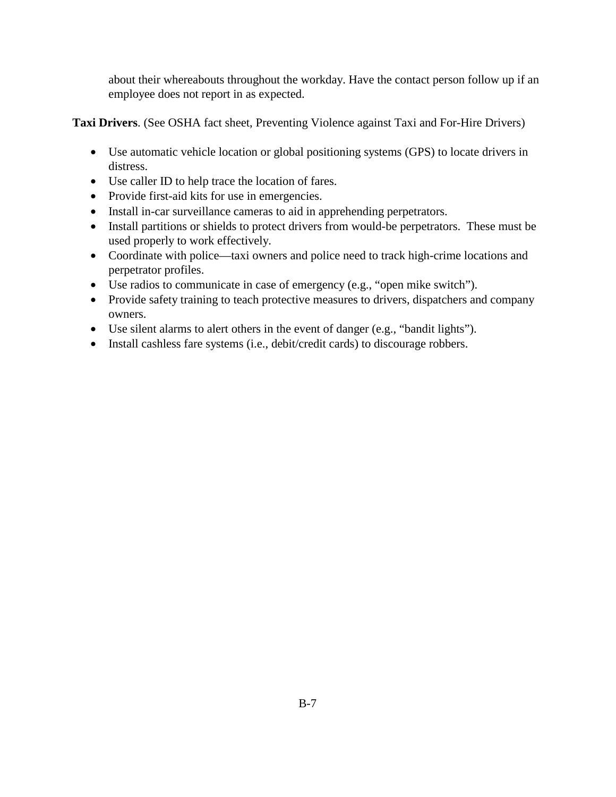about their whereabouts throughout the workday. Have the contact person follow up if an employee does not report in as expected.

**Taxi Drivers**. (See OSHA fact sheet, Preventing Violence against Taxi and For-Hire Drivers)

- Use automatic vehicle location or global positioning systems (GPS) to locate drivers in distress.
- Use caller ID to help trace the location of fares.
- Provide first-aid kits for use in emergencies.
- Install in-car surveillance cameras to aid in apprehending perpetrators.
- Install partitions or shields to protect drivers from would-be perpetrators. These must be used properly to work effectively.
- Coordinate with police—taxi owners and police need to track high-crime locations and perpetrator profiles.
- Use radios to communicate in case of emergency (e.g., "open mike switch").
- Provide safety training to teach protective measures to drivers, dispatchers and company owners.
- Use silent alarms to alert others in the event of danger (e.g., "bandit lights").
- Install cashless fare systems (i.e., debit/credit cards) to discourage robbers.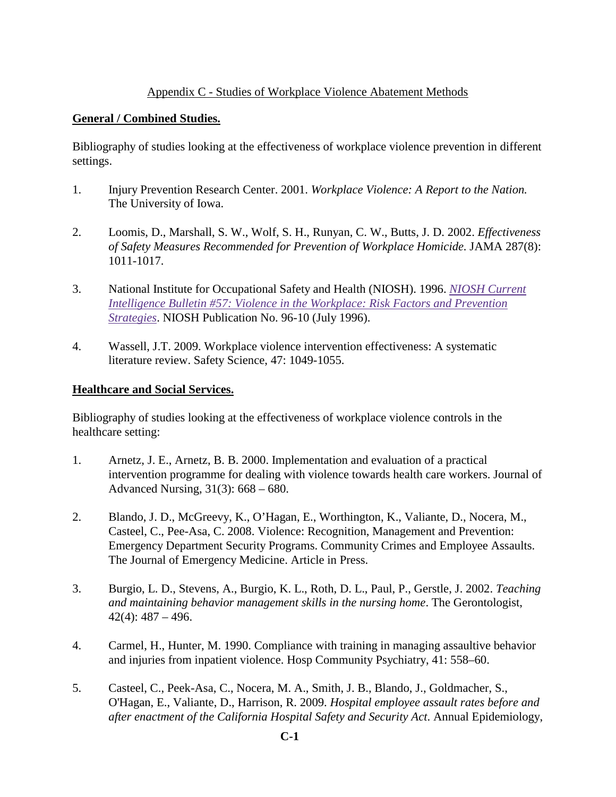## Appendix C - Studies of Workplace Violence Abatement Methods

### **General / Combined Studies.**

Bibliography of studies looking at the effectiveness of workplace violence prevention in different settings.

- 1. Injury Prevention Research Center. 2001. *Workplace Violence: A Report to the Nation.* The University of Iowa.
- 2. Loomis, D., Marshall, S. W., Wolf, S. H., Runyan, C. W., Butts, J. D. 2002. *Effectiveness of Safety Measures Recommended for Prevention of Workplace Homicide.* JAMA 287(8): 1011-1017.
- 3. National Institute for Occupational Safety and Health (NIOSH). 1996. *NIOSH Current [Intelligence Bulletin #57: Violence in the Workplace: Risk Factors and Prevention](http://www.cdc.gov/niosh/violcont.html)  Strategies*. NIOSH Publication No. 96-10 (July 1996).
- 4. Wassell, J.T. 2009. Workplace violence intervention effectiveness: A systematic literature review. Safety Science, 47: 1049-1055.

### **Healthcare and Social Services.**

Bibliography of studies looking at the effectiveness of workplace violence controls in the healthcare setting:

- 1. Arnetz, J. E., Arnetz, B. B. 2000. Implementation and evaluation of a practical intervention programme for dealing with violence towards health care workers. Journal of Advanced Nursing, 31(3): 668 – 680.
- 2. Blando, J. D., McGreevy, K., O'Hagan, E., Worthington, K., Valiante, D., Nocera, M., Casteel, C., Pee-Asa, C. 2008. Violence: Recognition, Management and Prevention: Emergency Department Security Programs. Community Crimes and Employee Assaults. The Journal of Emergency Medicine. Article in Press.
- 3. Burgio, L. D., Stevens, A., Burgio, K. L., Roth, D. L., Paul, P., Gerstle, J. 2002. *Teaching and maintaining behavior management skills in the nursing home*. The Gerontologist,  $42(4): 487 - 496.$
- 4. Carmel, H., Hunter, M. 1990. Compliance with training in managing assaultive behavior and injuries from inpatient violence. Hosp Community Psychiatry, 41: 558–60.
- 5. Casteel, C., Peek-Asa, C., Nocera, M. A., Smith, J. B., Blando, J., Goldmacher, S., O'Hagan, E., Valiante, D., Harrison, R. 2009. *Hospital employee assault rates before and after enactment of the California Hospital Safety and Security Act*. Annual Epidemiology,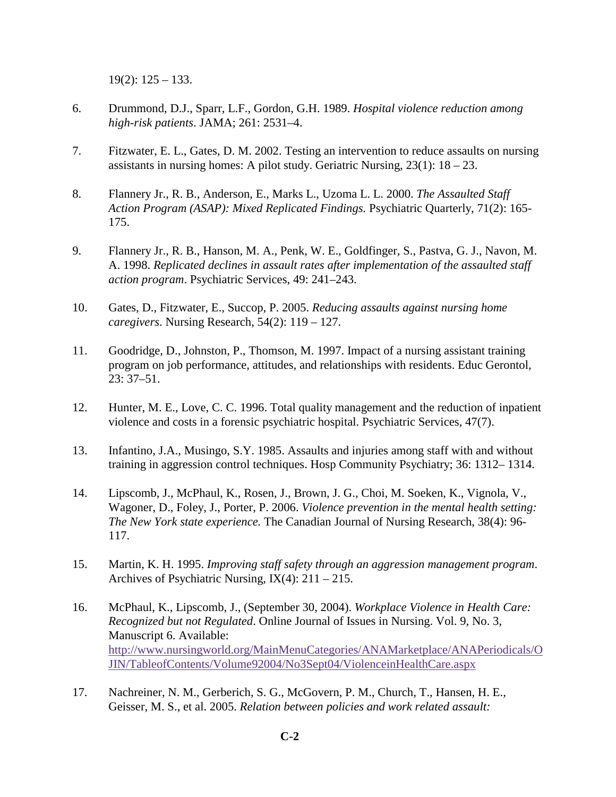$19(2): 125 - 133.$ 

- 6. Drummond, D.J., Sparr, L.F., Gordon, G.H. 1989. *Hospital violence reduction among high-risk patients*. JAMA; 261: 2531–4.
- 7. Fitzwater, E. L., Gates, D. M. 2002. Testing an intervention to reduce assaults on nursing assistants in nursing homes: A pilot study. Geriatric Nursing, 23(1): 18 – 23.
- 8. Flannery Jr., R. B., Anderson, E., Marks L., Uzoma L. L. 2000. *The Assaulted Staff Action Program (ASAP): Mixed Replicated Findings.* Psychiatric Quarterly, 71(2): 165- 175.
- 9. Flannery Jr., R. B., Hanson, M. A., Penk, W. E., Goldfinger, S., Pastva, G. J., Navon, M. A. 1998. *Replicated declines in assault rates after implementation of the assaulted staff action program*. Psychiatric Services, 49: 241–243.
- 10. Gates, D., Fitzwater, E., Succop, P. 2005. *Reducing assaults against nursing home caregivers*. Nursing Research, 54(2): 119 – 127.
- 11. Goodridge, D., Johnston, P., Thomson, M. 1997. Impact of a nursing assistant training program on job performance, attitudes, and relationships with residents. Educ Gerontol, 23: 37–51.
- 12. Hunter, M. E., Love, C. C. 1996. Total quality management and the reduction of inpatient violence and costs in a forensic psychiatric hospital. Psychiatric Services, 47(7).
- 13. Infantino, J.A., Musingo, S.Y. 1985. Assaults and injuries among staff with and without training in aggression control techniques. Hosp Community Psychiatry; 36: 1312– 1314.
- 14. Lipscomb, J., McPhaul, K., Rosen, J., Brown, J. G., Choi, M. Soeken, K., Vignola, V., Wagoner, D., Foley, J., Porter, P. 2006. *Violence prevention in the mental health setting: The New York state experience.* The Canadian Journal of Nursing Research, 38(4): 96- 117.
- 15. Martin, K. H. 1995. *Improving staff safety through an aggression management program*. Archives of Psychiatric Nursing, IX(4): 211 – 215.
- 16. McPhaul, K., Lipscomb, J., (September 30, 2004). *Workplace Violence in Health Care: Recognized but not Regulated*. Online Journal of Issues in Nursing. Vol. 9, No. 3, Manuscript 6. Available: http://www.nursingworld.org/MainMenuCategories/ANAMarketplace/ANAPeriodicals/O JIN/TableofContents/Volume92004/No3Sept04/ViolenceinHealthCare.aspx
- 17. Nachreiner, N. M., Gerberich, S. G., McGovern, P. M., Church, T., Hansen, H. E., Geisser, M. S., et al. 2005. *Relation between policies and work related assault:*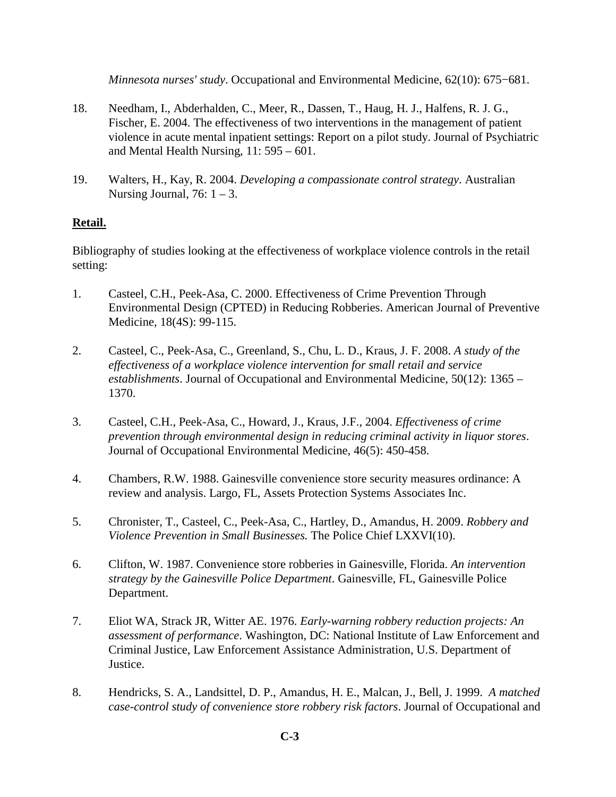*Minnesota nurses' study*. Occupational and Environmental Medicine, 62(10): 675−681.

- 18. Needham, I., Abderhalden, C., Meer, R., Dassen, T., Haug, H. J., Halfens, R. J. G., Fischer, E. 2004. The effectiveness of two interventions in the management of patient violence in acute mental inpatient settings: Report on a pilot study. Journal of Psychiatric and Mental Health Nursing, 11: 595 – 601.
- 19. Walters, H., Kay, R. 2004. *Developing a compassionate control strategy*. Australian Nursing Journal, 76:  $1 - 3$ .

# **Retail.**

Bibliography of studies looking at the effectiveness of workplace violence controls in the retail setting:

- 1. Casteel, C.H., Peek-Asa, C. 2000. Effectiveness of Crime Prevention Through Environmental Design (CPTED) in Reducing Robberies. American Journal of Preventive Medicine, 18(4S): 99-115.
- 2. Casteel, C., Peek-Asa, C., Greenland, S., Chu, L. D., Kraus, J. F. 2008. *A study of the effectiveness of a workplace violence intervention for small retail and service establishments*. Journal of Occupational and Environmental Medicine, 50(12): 1365 – 1370.
- 3. Casteel, C.H., Peek-Asa, C., Howard, J., Kraus, J.F., 2004. *Effectiveness of crime prevention through environmental design in reducing criminal activity in liquor stores*. Journal of Occupational Environmental Medicine, 46(5): 450-458.
- 4. Chambers, R.W. 1988. Gainesville convenience store security measures ordinance: A review and analysis. Largo, FL, Assets Protection Systems Associates Inc.
- 5. Chronister, T., Casteel, C., Peek-Asa, C., Hartley, D., Amandus, H. 2009. *Robbery and Violence Prevention in Small Businesses.* The Police Chief LXXVI(10).
- 6. Clifton, W. 1987. Convenience store robberies in Gainesville, Florida. *An intervention strategy by the Gainesville Police Department*. Gainesville, FL, Gainesville Police Department.
- 7. Eliot WA, Strack JR, Witter AE. 1976. *Early-warning robbery reduction projects: An assessment of performance*. Washington, DC: National Institute of Law Enforcement and Criminal Justice, Law Enforcement Assistance Administration, U.S. Department of Justice.
- 8. Hendricks, S. A., Landsittel, D. P., Amandus, H. E., Malcan, J., Bell, J. 1999. *A matched case-control study of convenience store robbery risk factors*. Journal of Occupational and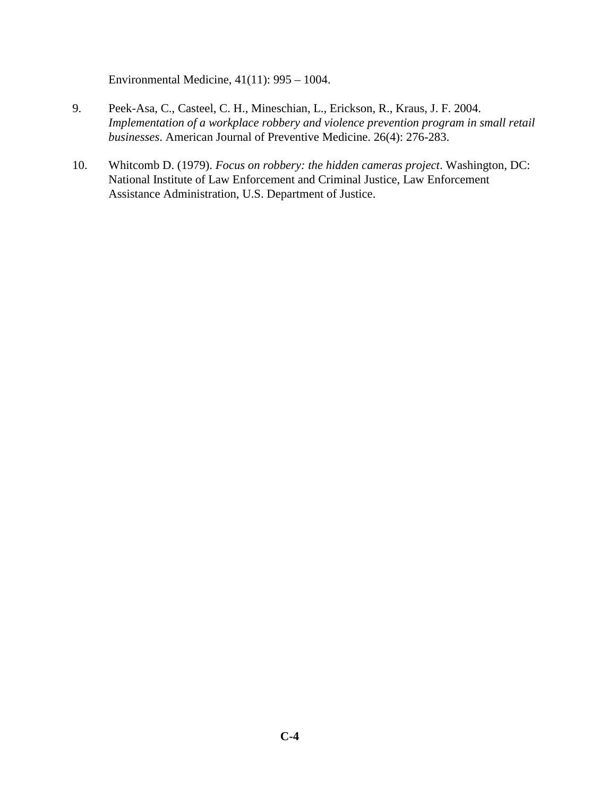Environmental Medicine, 41(11): 995 – 1004.

- 9. Peek-Asa, C., Casteel, C. H., Mineschian, L., Erickson, R., Kraus, J. F. 2004. *Implementation of a workplace robbery and violence prevention program in small retail businesses*. American Journal of Preventive Medicine. 26(4): 276-283.
- 10. Whitcomb D. (1979). *Focus on robbery: the hidden cameras project*. Washington, DC: National Institute of Law Enforcement and Criminal Justice, Law Enforcement Assistance Administration, U.S. Department of Justice.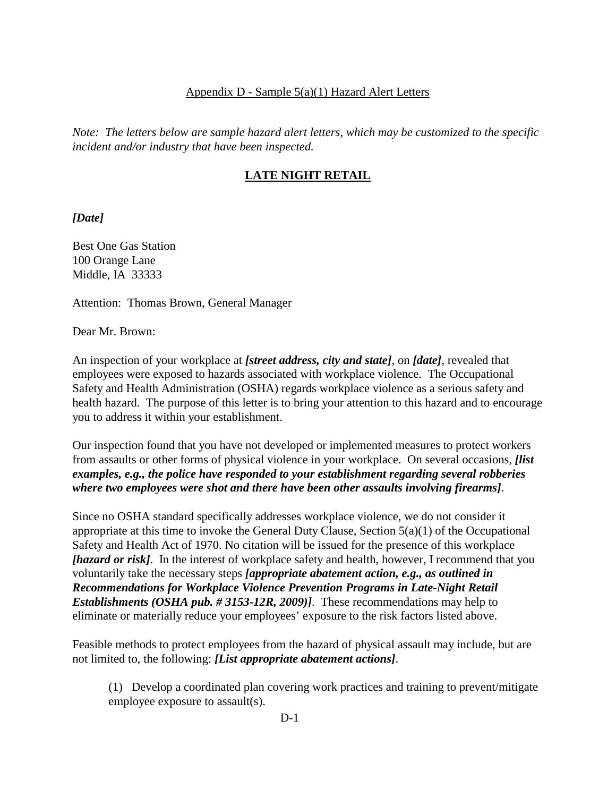### Appendix D - Sample 5(a)(1) Hazard Alert Letters

*Note: The letters below are sample hazard alert letters, which may be customized to the specific incident and/or industry that have been inspected.* 

# **LATE NIGHT RETAIL**

### *[Date]*

Best One Gas Station 100 Orange Lane Middle, IA 33333

Attention: Thomas Brown, General Manager

Dear Mr. Brown:

An inspection of your workplace at *[street address, city and state]*, on *[date]*, revealed that employees were exposed to hazards associated with workplace violence. The Occupational Safety and Health Administration (OSHA) regards workplace violence as a serious safety and health hazard. The purpose of this letter is to bring your attention to this hazard and to encourage you to address it within your establishment.

Our inspection found that you have not developed or implemented measures to protect workers from assaults or other forms of physical violence in your workplace. On several occasions, *[list examples, e.g., the police have responded to your establishment regarding several robberies where two employees were shot and there have been other assaults involving firearms]*.

Since no OSHA standard specifically addresses workplace violence, we do not consider it appropriate at this time to invoke the General Duty Clause, Section 5(a)(1) of the Occupational Safety and Health Act of 1970. No citation will be issued for the presence of this workplace *[hazard or risk]*. In the interest of workplace safety and health, however, I recommend that you voluntarily take the necessary steps *[appropriate abatement action, e.g., as outlined in Recommendations for Workplace Violence Prevention Programs in Late-Night Retail Establishments (OSHA pub. # 3153-12R, 2009)]*. These recommendations may help to eliminate or materially reduce your employees' exposure to the risk factors listed above.

Feasible methods to protect employees from the hazard of physical assault may include, but are not limited to, the following: *[List appropriate abatement actions]*.

(1) Develop a coordinated plan covering work practices and training to prevent/mitigate employee exposure to assault(s).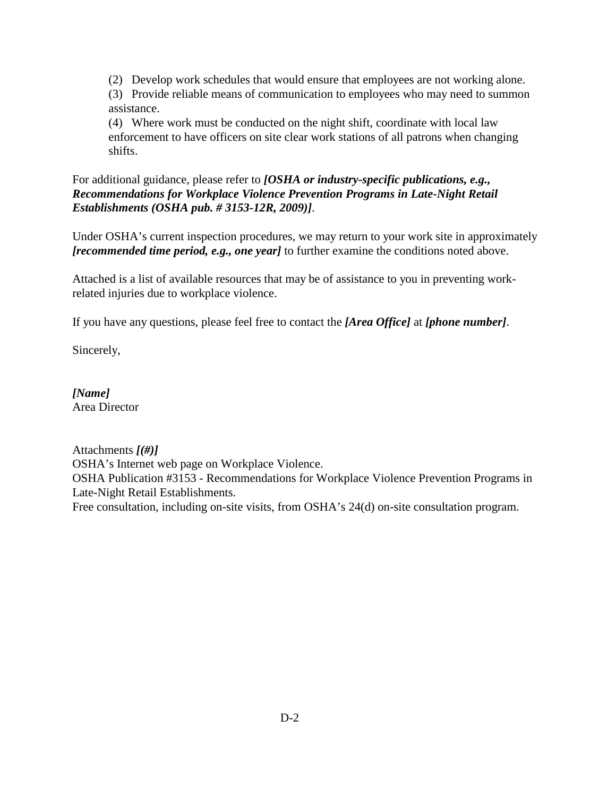(2) Develop work schedules that would ensure that employees are not working alone.

(3) Provide reliable means of communication to employees who may need to summon assistance.

(4) Where work must be conducted on the night shift, coordinate with local law enforcement to have officers on site clear work stations of all patrons when changing shifts.

For additional guidance, please refer to *[OSHA or industry-specific publications, e.g., Recommendations for Workplace Violence Prevention Programs in Late-Night Retail Establishments (OSHA pub. # 3153-12R, 2009)]*.

Under OSHA's current inspection procedures, we may return to your work site in approximately *[recommended time period, e.g., one year]* to further examine the conditions noted above.

Attached is a list of available resources that may be of assistance to you in preventing workrelated injuries due to workplace violence.

If you have any questions, please feel free to contact the *[Area Office]* at *[phone number]*.

Sincerely,

*[Name]*  Area Director

Attachments *[(#)]* OSHA's Internet web page on Workplace Violence. OSHA Publication #3153 - Recommendations for Workplace Violence Prevention Programs in Late-Night Retail Establishments. Free consultation, including on-site visits, from OSHA's 24(d) on-site consultation program.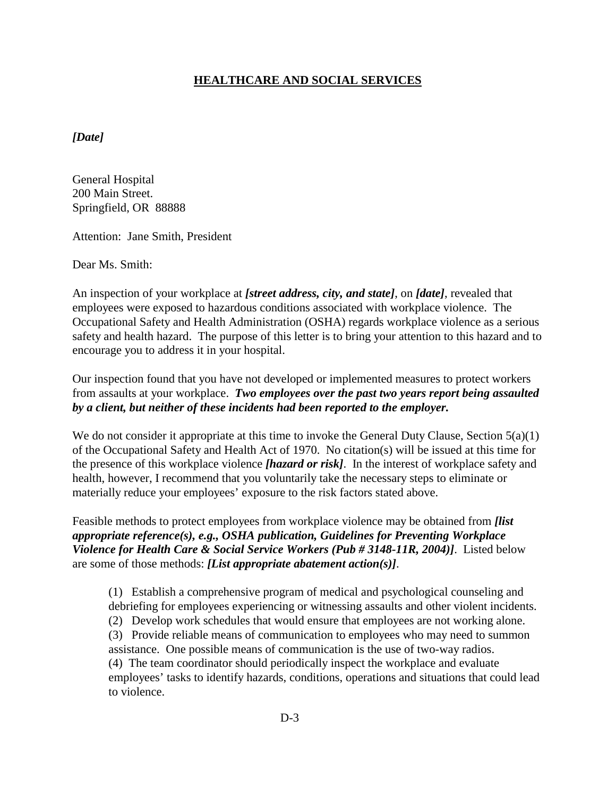### **HEALTHCARE AND SOCIAL SERVICES**

*[Date]* 

General Hospital 200 Main Street. Springfield, OR 88888

Attention: Jane Smith, President

Dear Ms. Smith:

An inspection of your workplace at *[street address, city, and state]*, on *[date]*, revealed that employees were exposed to hazardous conditions associated with workplace violence. The Occupational Safety and Health Administration (OSHA) regards workplace violence as a serious safety and health hazard. The purpose of this letter is to bring your attention to this hazard and to encourage you to address it in your hospital.

Our inspection found that you have not developed or implemented measures to protect workers from assaults at your workplace. *Two employees over the past two years report being assaulted by a client, but neither of these incidents had been reported to the employer.* 

We do not consider it appropriate at this time to invoke the General Duty Clause, Section  $5(a)(1)$ of the Occupational Safety and Health Act of 1970. No citation(s) will be issued at this time for the presence of this workplace violence *[hazard or risk]*. In the interest of workplace safety and health, however, I recommend that you voluntarily take the necessary steps to eliminate or materially reduce your employees' exposure to the risk factors stated above.

Feasible methods to protect employees from workplace violence may be obtained from *[list appropriate reference(s), e.g., OSHA publication, Guidelines for Preventing Workplace Violence for Health Care & Social Service Workers (Pub # 3148-11R, 2004)]*. Listed below are some of those methods: *[List appropriate abatement action(s)]*.

(1) Establish a comprehensive program of medical and psychological counseling and debriefing for employees experiencing or witnessing assaults and other violent incidents. (2) Develop work schedules that would ensure that employees are not working alone. (3) Provide reliable means of communication to employees who may need to summon assistance. One possible means of communication is the use of two-way radios. (4) The team coordinator should periodically inspect the workplace and evaluate employees' tasks to identify hazards, conditions, operations and situations that could lead to violence.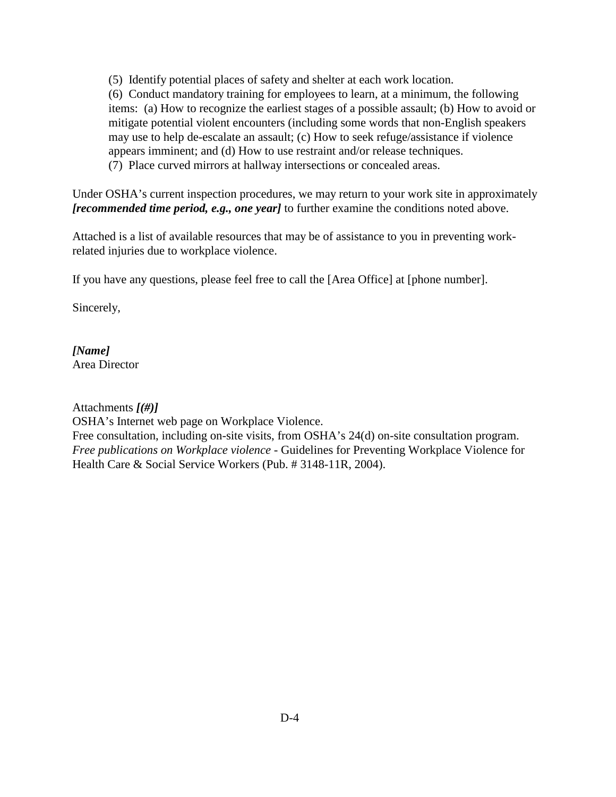(5) Identify potential places of safety and shelter at each work location. (6) Conduct mandatory training for employees to learn, at a minimum, the following items: (a) How to recognize the earliest stages of a possible assault; (b) How to avoid or mitigate potential violent encounters (including some words that non-English speakers may use to help de-escalate an assault; (c) How to seek refuge/assistance if violence appears imminent; and (d) How to use restraint and/or release techniques. (7) Place curved mirrors at hallway intersections or concealed areas.

Under OSHA's current inspection procedures, we may return to your work site in approximately *[recommended time period, e.g., one year]* to further examine the conditions noted above.

Attached is a list of available resources that may be of assistance to you in preventing workrelated injuries due to workplace violence.

If you have any questions, please feel free to call the [Area Office] at [phone number].

Sincerely,

*[Name]*  Area Director

Attachments *[(#)]* OSHA's Internet web page on Workplace Violence. Free consultation, including on-site visits, from OSHA's 24(d) on-site consultation program. *Free publications on Workplace violence -* Guidelines for Preventing Workplace Violence for Health Care & Social Service Workers (Pub. # 3148-11R, 2004).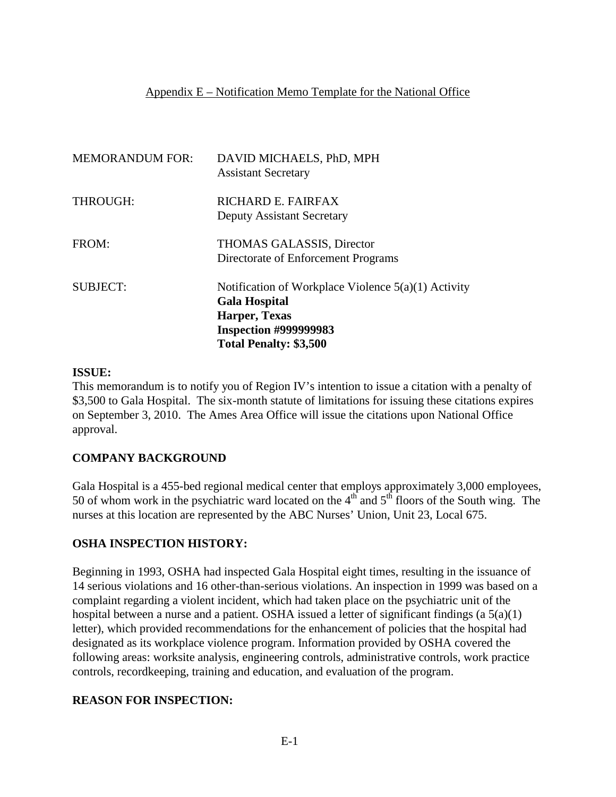### Appendix E – Notification Memo Template for the National Office

| <b>MEMORANDUM FOR:</b> | DAVID MICHAELS, PhD, MPH<br><b>Assistant Secretary</b>                                                                                                          |
|------------------------|-----------------------------------------------------------------------------------------------------------------------------------------------------------------|
| THROUGH:               | RICHARD E. FAIRFAX<br><b>Deputy Assistant Secretary</b>                                                                                                         |
| FROM:                  | THOMAS GALASSIS, Director<br>Directorate of Enforcement Programs                                                                                                |
| SUBJECT:               | Notification of Workplace Violence $5(a)(1)$ Activity<br><b>Gala Hospital</b><br>Harper, Texas<br><b>Inspection #999999983</b><br><b>Total Penalty: \$3,500</b> |

### **ISSUE:**

This memorandum is to notify you of Region IV's intention to issue a citation with a penalty of \$3,500 to Gala Hospital. The six-month statute of limitations for issuing these citations expires on September 3, 2010. The Ames Area Office will issue the citations upon National Office approval.

### **COMPANY BACKGROUND**

Gala Hospital is a 455-bed regional medical center that employs approximately 3,000 employees, 50 of whom work in the psychiatric ward located on the  $4<sup>th</sup>$  and  $5<sup>th</sup>$  floors of the South wing. The nurses at this location are represented by the ABC Nurses' Union, Unit 23, Local 675.

### **OSHA INSPECTION HISTORY:**

Beginning in 1993, OSHA had inspected Gala Hospital eight times, resulting in the issuance of 14 serious violations and 16 other-than-serious violations. An inspection in 1999 was based on a complaint regarding a violent incident, which had taken place on the psychiatric unit of the hospital between a nurse and a patient. OSHA issued a letter of significant findings (a 5(a)(1) letter), which provided recommendations for the enhancement of policies that the hospital had designated as its workplace violence program. Information provided by OSHA covered the following areas: worksite analysis, engineering controls, administrative controls, work practice controls, recordkeeping, training and education, and evaluation of the program.

### **REASON FOR INSPECTION:**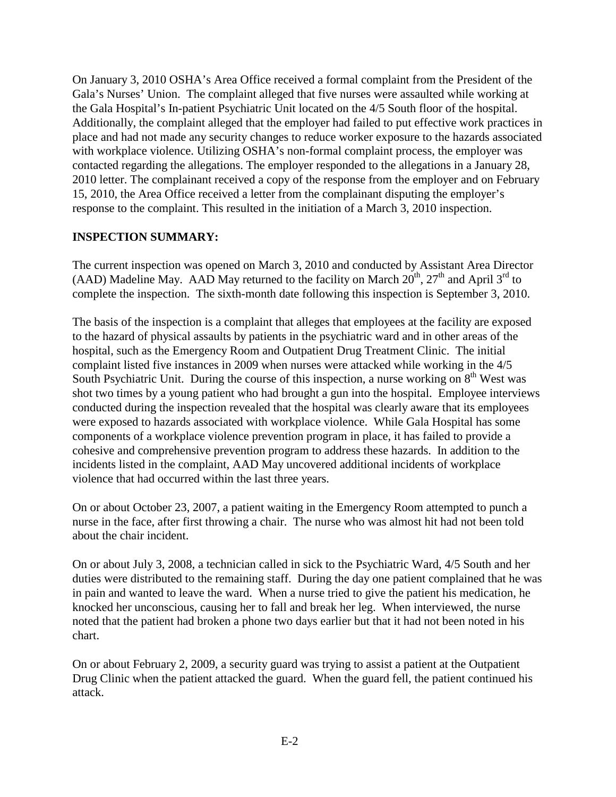On January 3, 2010 OSHA's Area Office received a formal complaint from the President of the Gala's Nurses' Union. The complaint alleged that five nurses were assaulted while working at the Gala Hospital's In-patient Psychiatric Unit located on the 4/5 South floor of the hospital. Additionally, the complaint alleged that the employer had failed to put effective work practices in place and had not made any security changes to reduce worker exposure to the hazards associated with workplace violence. Utilizing OSHA's non-formal complaint process, the employer was contacted regarding the allegations. The employer responded to the allegations in a January 28, 2010 letter. The complainant received a copy of the response from the employer and on February 15, 2010, the Area Office received a letter from the complainant disputing the employer's response to the complaint. This resulted in the initiation of a March 3, 2010 inspection.

### **INSPECTION SUMMARY:**

The current inspection was opened on March 3, 2010 and conducted by Assistant Area Director (AAD) Madeline May. AAD May returned to the facility on March  $20^{th}$ ,  $27^{th}$  and April  $3^{rd}$  to complete the inspection. The sixth-month date following this inspection is September 3, 2010.

The basis of the inspection is a complaint that alleges that employees at the facility are exposed to the hazard of physical assaults by patients in the psychiatric ward and in other areas of the hospital, such as the Emergency Room and Outpatient Drug Treatment Clinic. The initial complaint listed five instances in 2009 when nurses were attacked while working in the 4/5 South Psychiatric Unit. During the course of this inspection, a nurse working on  $8<sup>th</sup>$  West was shot two times by a young patient who had brought a gun into the hospital. Employee interviews conducted during the inspection revealed that the hospital was clearly aware that its employees were exposed to hazards associated with workplace violence. While Gala Hospital has some components of a workplace violence prevention program in place, it has failed to provide a cohesive and comprehensive prevention program to address these hazards. In addition to the incidents listed in the complaint, AAD May uncovered additional incidents of workplace violence that had occurred within the last three years.

On or about October 23, 2007, a patient waiting in the Emergency Room attempted to punch a nurse in the face, after first throwing a chair. The nurse who was almost hit had not been told about the chair incident.

On or about July 3, 2008, a technician called in sick to the Psychiatric Ward, 4/5 South and her duties were distributed to the remaining staff. During the day one patient complained that he was in pain and wanted to leave the ward. When a nurse tried to give the patient his medication, he knocked her unconscious, causing her to fall and break her leg. When interviewed, the nurse noted that the patient had broken a phone two days earlier but that it had not been noted in his chart.

On or about February 2, 2009, a security guard was trying to assist a patient at the Outpatient Drug Clinic when the patient attacked the guard. When the guard fell, the patient continued his attack.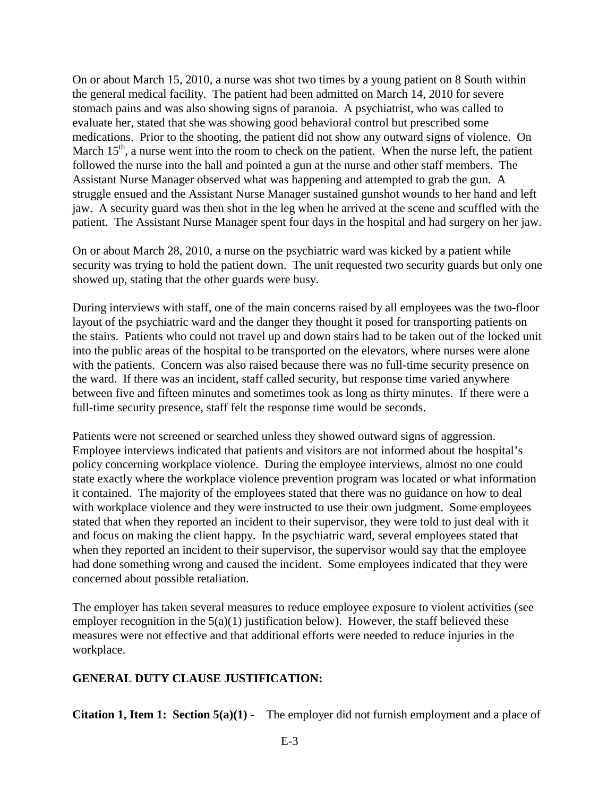On or about March 15, 2010, a nurse was shot two times by a young patient on 8 South within the general medical facility. The patient had been admitted on March 14, 2010 for severe stomach pains and was also showing signs of paranoia. A psychiatrist, who was called to evaluate her, stated that she was showing good behavioral control but prescribed some medications. Prior to the shooting, the patient did not show any outward signs of violence. On March  $15<sup>th</sup>$ , a nurse went into the room to check on the patient. When the nurse left, the patient followed the nurse into the hall and pointed a gun at the nurse and other staff members. The Assistant Nurse Manager observed what was happening and attempted to grab the gun. A struggle ensued and the Assistant Nurse Manager sustained gunshot wounds to her hand and left jaw. A security guard was then shot in the leg when he arrived at the scene and scuffled with the patient. The Assistant Nurse Manager spent four days in the hospital and had surgery on her jaw.

On or about March 28, 2010, a nurse on the psychiatric ward was kicked by a patient while security was trying to hold the patient down. The unit requested two security guards but only one showed up, stating that the other guards were busy.

During interviews with staff, one of the main concerns raised by all employees was the two-floor layout of the psychiatric ward and the danger they thought it posed for transporting patients on the stairs. Patients who could not travel up and down stairs had to be taken out of the locked unit into the public areas of the hospital to be transported on the elevators, where nurses were alone with the patients. Concern was also raised because there was no full-time security presence on the ward. If there was an incident, staff called security, but response time varied anywhere between five and fifteen minutes and sometimes took as long as thirty minutes. If there were a full-time security presence, staff felt the response time would be seconds.

Patients were not screened or searched unless they showed outward signs of aggression. Employee interviews indicated that patients and visitors are not informed about the hospital's policy concerning workplace violence. During the employee interviews, almost no one could state exactly where the workplace violence prevention program was located or what information it contained. The majority of the employees stated that there was no guidance on how to deal with workplace violence and they were instructed to use their own judgment. Some employees stated that when they reported an incident to their supervisor, they were told to just deal with it and focus on making the client happy. In the psychiatric ward, several employees stated that when they reported an incident to their supervisor, the supervisor would say that the employee had done something wrong and caused the incident. Some employees indicated that they were concerned about possible retaliation.

The employer has taken several measures to reduce employee exposure to violent activities (see employer recognition in the  $5(a)(1)$  justification below). However, the staff believed these measures were not effective and that additional efforts were needed to reduce injuries in the workplace.

## **GENERAL DUTY CLAUSE JUSTIFICATION:**

**Citation 1, Item 1: Section 5(a)(1)** - The employer did not furnish employment and a place of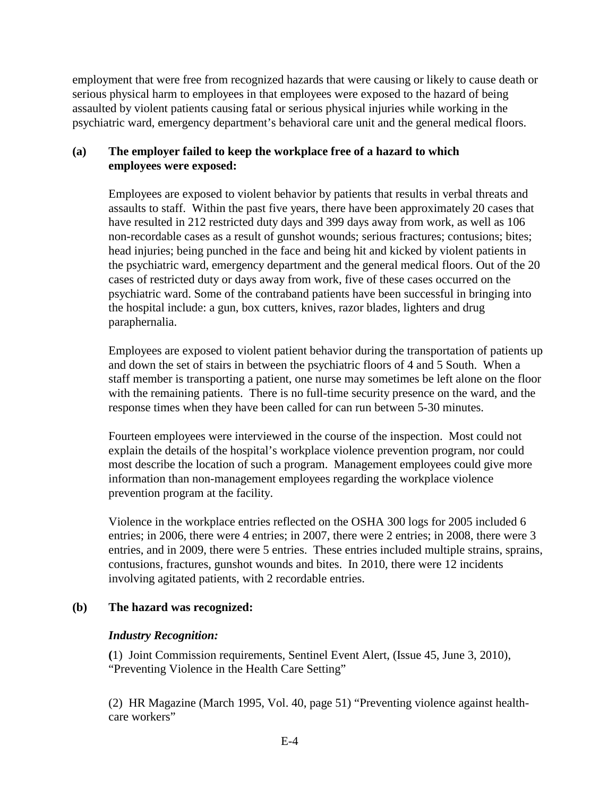employment that were free from recognized hazards that were causing or likely to cause death or serious physical harm to employees in that employees were exposed to the hazard of being assaulted by violent patients causing fatal or serious physical injuries while working in the psychiatric ward, emergency department's behavioral care unit and the general medical floors.

## **(a) The employer failed to keep the workplace free of a hazard to which employees were exposed:**

Employees are exposed to violent behavior by patients that results in verbal threats and assaults to staff. Within the past five years, there have been approximately 20 cases that have resulted in 212 restricted duty days and 399 days away from work, as well as 106 non-recordable cases as a result of gunshot wounds; serious fractures; contusions; bites; head injuries; being punched in the face and being hit and kicked by violent patients in the psychiatric ward, emergency department and the general medical floors. Out of the 20 cases of restricted duty or days away from work, five of these cases occurred on the psychiatric ward. Some of the contraband patients have been successful in bringing into the hospital include: a gun, box cutters, knives, razor blades, lighters and drug paraphernalia.

Employees are exposed to violent patient behavior during the transportation of patients up and down the set of stairs in between the psychiatric floors of 4 and 5 South. When a staff member is transporting a patient, one nurse may sometimes be left alone on the floor with the remaining patients. There is no full-time security presence on the ward, and the response times when they have been called for can run between 5-30 minutes.

Fourteen employees were interviewed in the course of the inspection. Most could not explain the details of the hospital's workplace violence prevention program, nor could most describe the location of such a program. Management employees could give more information than non-management employees regarding the workplace violence prevention program at the facility.

Violence in the workplace entries reflected on the OSHA 300 logs for 2005 included 6 entries; in 2006, there were 4 entries; in 2007, there were 2 entries; in 2008, there were 3 entries, and in 2009, there were 5 entries. These entries included multiple strains, sprains, contusions, fractures, gunshot wounds and bites. In 2010, there were 12 incidents involving agitated patients, with 2 recordable entries.

## **(b) The hazard was recognized:**

## *Industry Recognition:*

**(**1) Joint Commission requirements, Sentinel Event Alert, (Issue 45, June 3, 2010), "Preventing Violence in the Health Care Setting"

(2) HR Magazine (March 1995, Vol. 40, page 51) "Preventing violence against healthcare workers"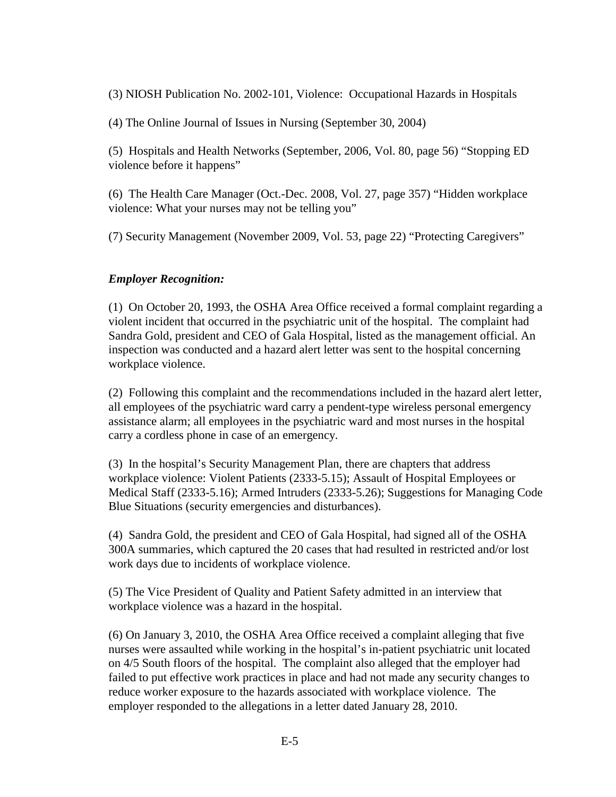(3) NIOSH Publication No. 2002-101, Violence: Occupational Hazards in Hospitals

(4) The Online Journal of Issues in Nursing (September 30, 2004)

(5) Hospitals and Health Networks (September, 2006, Vol. 80, page 56) "Stopping ED violence before it happens"

(6) The Health Care Manager (Oct.-Dec. 2008, Vol. 27, page 357) "Hidden workplace violence: What your nurses may not be telling you"

(7) Security Management (November 2009, Vol. 53, page 22) "Protecting Caregivers"

## *Employer Recognition:*

(1) On October 20, 1993, the OSHA Area Office received a formal complaint regarding a violent incident that occurred in the psychiatric unit of the hospital. The complaint had Sandra Gold, president and CEO of Gala Hospital, listed as the management official. An inspection was conducted and a hazard alert letter was sent to the hospital concerning workplace violence.

(2) Following this complaint and the recommendations included in the hazard alert letter, all employees of the psychiatric ward carry a pendent-type wireless personal emergency assistance alarm; all employees in the psychiatric ward and most nurses in the hospital carry a cordless phone in case of an emergency.

(3) In the hospital's Security Management Plan, there are chapters that address workplace violence: Violent Patients (2333-5.15); Assault of Hospital Employees or Medical Staff (2333-5.16); Armed Intruders (2333-5.26); Suggestions for Managing Code Blue Situations (security emergencies and disturbances).

(4) Sandra Gold, the president and CEO of Gala Hospital, had signed all of the OSHA 300A summaries, which captured the 20 cases that had resulted in restricted and/or lost work days due to incidents of workplace violence.

(5) The Vice President of Quality and Patient Safety admitted in an interview that workplace violence was a hazard in the hospital.

(6) On January 3, 2010, the OSHA Area Office received a complaint alleging that five nurses were assaulted while working in the hospital's in-patient psychiatric unit located on 4/5 South floors of the hospital. The complaint also alleged that the employer had failed to put effective work practices in place and had not made any security changes to reduce worker exposure to the hazards associated with workplace violence. The employer responded to the allegations in a letter dated January 28, 2010.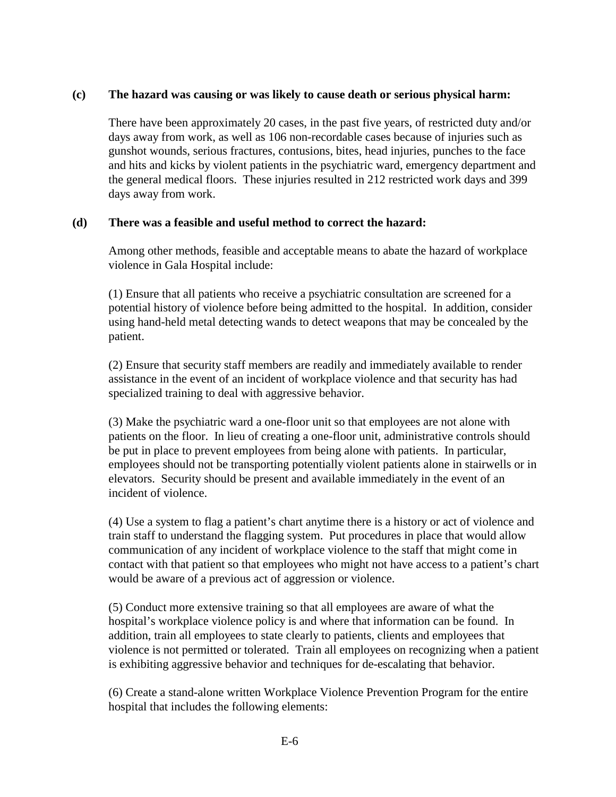### **(c) The hazard was causing or was likely to cause death or serious physical harm:**

There have been approximately 20 cases, in the past five years, of restricted duty and/or days away from work, as well as 106 non-recordable cases because of injuries such as gunshot wounds, serious fractures, contusions, bites, head injuries, punches to the face and hits and kicks by violent patients in the psychiatric ward, emergency department and the general medical floors. These injuries resulted in 212 restricted work days and 399 days away from work.

### **(d) There was a feasible and useful method to correct the hazard:**

Among other methods, feasible and acceptable means to abate the hazard of workplace violence in Gala Hospital include:

(1) Ensure that all patients who receive a psychiatric consultation are screened for a potential history of violence before being admitted to the hospital. In addition, consider using hand-held metal detecting wands to detect weapons that may be concealed by the patient.

(2) Ensure that security staff members are readily and immediately available to render assistance in the event of an incident of workplace violence and that security has had specialized training to deal with aggressive behavior.

(3) Make the psychiatric ward a one-floor unit so that employees are not alone with patients on the floor. In lieu of creating a one-floor unit, administrative controls should be put in place to prevent employees from being alone with patients. In particular, employees should not be transporting potentially violent patients alone in stairwells or in elevators. Security should be present and available immediately in the event of an incident of violence.

(4) Use a system to flag a patient's chart anytime there is a history or act of violence and train staff to understand the flagging system. Put procedures in place that would allow communication of any incident of workplace violence to the staff that might come in contact with that patient so that employees who might not have access to a patient's chart would be aware of a previous act of aggression or violence.

(5) Conduct more extensive training so that all employees are aware of what the hospital's workplace violence policy is and where that information can be found. In addition, train all employees to state clearly to patients, clients and employees that violence is not permitted or tolerated. Train all employees on recognizing when a patient is exhibiting aggressive behavior and techniques for de-escalating that behavior.

(6) Create a stand-alone written Workplace Violence Prevention Program for the entire hospital that includes the following elements: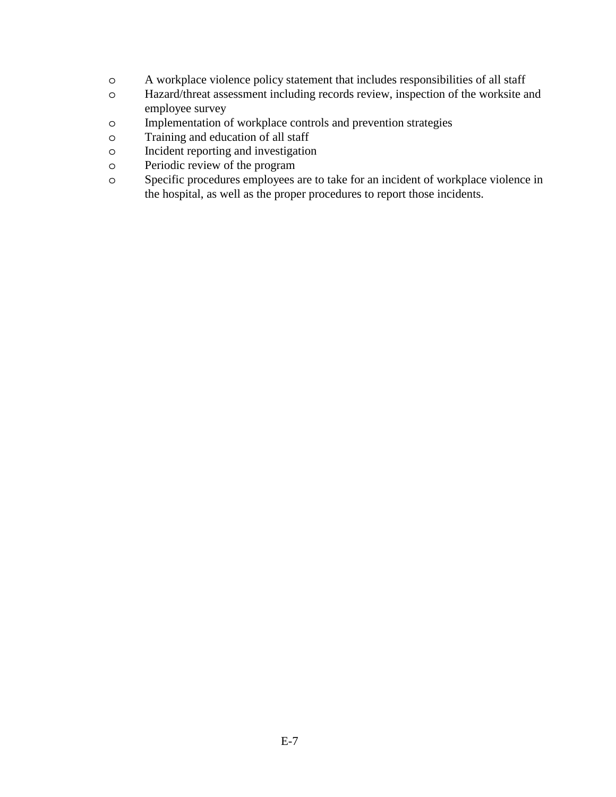- o A workplace violence policy statement that includes responsibilities of all staff
- o Hazard/threat assessment including records review, inspection of the worksite and employee survey
- o Implementation of workplace controls and prevention strategies
- o Training and education of all staff
- o Incident reporting and investigation
- o Periodic review of the program
- o Specific procedures employees are to take for an incident of workplace violence in the hospital, as well as the proper procedures to report those incidents.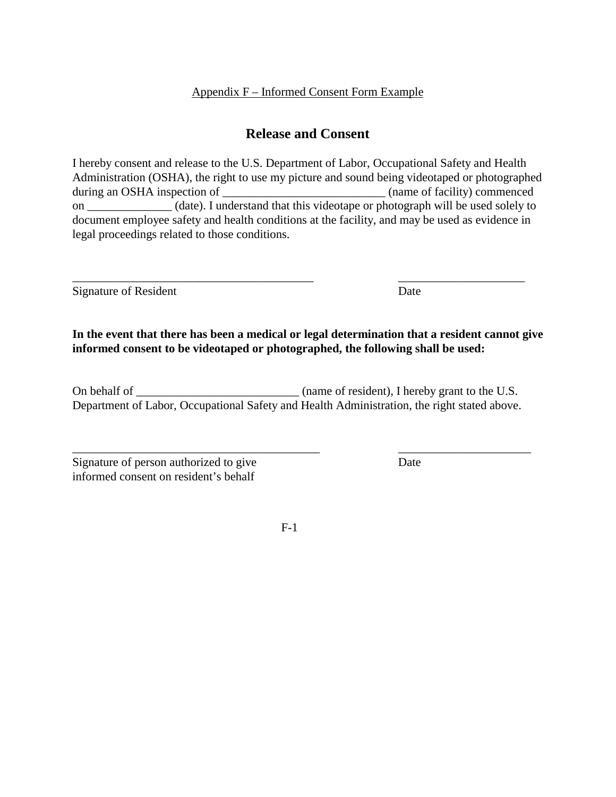### Appendix F – Informed Consent Form Example

# **Release and Consent**

I hereby consent and release to the U.S. Department of Labor, Occupational Safety and Health Administration (OSHA), the right to use my picture and sound being videotaped or photographed during an OSHA inspection of \_\_\_\_\_\_\_\_\_\_\_\_\_\_\_\_\_\_\_\_\_\_\_\_\_\_\_\_\_\_(name of facility) commenced on  $\overline{a}$  (date). I understand that this videotape or photograph will be used solely to document employee safety and health conditions at the facility, and may be used as evidence in legal proceedings related to those conditions.

| Signature of Resident | Date |
|-----------------------|------|
|-----------------------|------|

## **In the event that there has been a medical or legal determination that a resident cannot give informed consent to be videotaped or photographed, the following shall be used:**

\_\_\_\_\_\_\_\_\_\_\_\_\_\_\_\_\_\_\_\_\_\_\_\_\_\_\_\_\_\_\_\_\_\_\_\_\_\_\_\_ \_\_\_\_\_\_\_\_\_\_\_\_\_\_\_\_\_\_\_\_\_

On behalf of \_\_\_\_\_\_\_\_\_\_\_\_\_\_\_\_\_\_\_\_\_\_\_\_\_\_\_ (name of resident), I hereby grant to the U.S. Department of Labor, Occupational Safety and Health Administration, the right stated above.

\_\_\_\_\_\_\_\_\_\_\_\_\_\_\_\_\_\_\_\_\_\_\_\_\_\_\_\_\_\_\_\_\_\_\_\_\_\_\_\_\_ \_\_\_\_\_\_\_\_\_\_\_\_\_\_\_\_\_\_\_\_\_\_

Signature of person authorized to give Date informed consent on resident's behalf

F-1